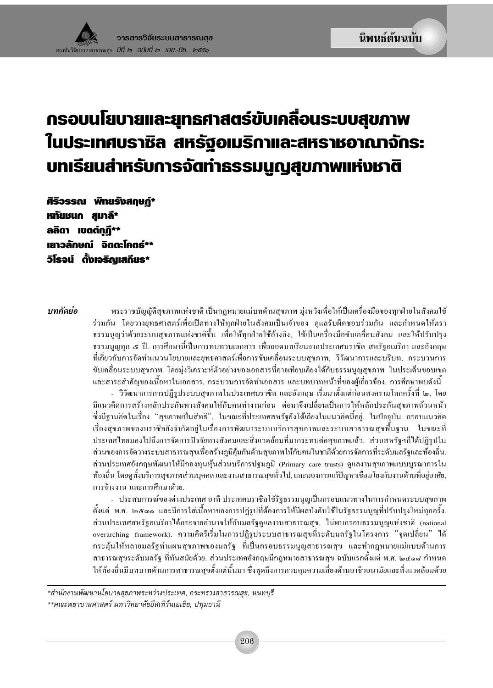# กรอบนโยบายและยุทธศาสตร์ขับเคลื่อนระบบสุขภาพ ในประเทศบราซิล สหรัฐอเมริกาและสหราชอาณาจักร: บทเรียนสำหรับการจัดทำธรรมนูญสุขภาพแห่งมาติ

ศิริวรรณ พิทยรังสฤษภ์\* หทัยชนก สมาลี\* ลลิดา เขตต์กกี\*\* ู เยาวลักษณ์ จิตตะโคตร์\*\* วิโรจน์ ตั้งเจริณเสถียร\*

บทดัดย่อ

พระราชบัญญัติสงภาพแห่งชาติ เป็นกฎหมายแม่บทด้านสงภาพ ม่งหวังเพื่อให้เป็นเครื่องมืององทกฝ่ายในสังคมใช้ ร่วมกัน โดยวางยุทธศาสตร์เพื่อเปิดทางให้ทุกฝ่ายในสังคมเป็นเจ้าของ ดูแลรับผิดชอบร่วมกัน และกำหนดให้ตรา ธรรมนณว่าด้วยระบบสขภาพแห่งชาติขึ้น เพื่อให้ทกฝ่ายใช้อ้างอิง, ใช้เป็นเครื่องมือขับเคลื่อนสังคม และให้ปรับปรง ี ธรรมนูญทุก ๕ ปี. การศึกษานี้เป็นการทบทวนเอกสาร เพื่อถอดบทเรียนจากประเทศบราซิล สหรัฐอเมริกา และอังกฤษ ที่เกี่ยวกับการจัดทำแนวนโยบายและยุทธศาสตร์เพื่อการขับเคลื่อนระบบสุขภาพ, วิวัฒนาการและบริบท, กระบวนการ ขับเคลื่อนระบบสุขภาพ โดยมุ่งวิเคราะห์ตัวอย่างของเอกสารที่อาจเทียบเคียงใด้กับธรรมนูญสุขภาพ ในประเด็นขอบเขต และสาระสำคัญของเนื้อหาในเอกสาร, กระบวนการจัดทำเอกสาร และบทบาทหน้าที่ของผู้เกี่ยวข้อง. การศึกษาพบดังนี้

- วิวัฒนาการการปฏิรูประบบสุขภาพในประเทศบราซิล และอังกฤษ เริ่มมาตั้งแต่ก่อนสงครามโลกครั้งที่ ๒, โดย มีแนวกิดการสร้างหลักประกันทางสังคมให้กับคนทำงานก่อน ต่อมาจึงเปลี่ยนเป็นการให้หลักประกันสุขภาพถ้วนหน้า ซึ่งมีฐานคิดในเรื่อง "สุขภาพเป็นสิทธิ", ในขณะที่ประเทศสหรัฐยังโต้เถียงในแนวคิดนี้อยู่. ในปัจจุบัน กรอบแนวคิด เรื่องสุขภาพของบราซิลยังจำกัดอยู่ในเรื่องการพัฒนาระบบบริการสุขภาพและระบบสาธารณสุขพื้นฐาน ในขณะที่ ประเทศไทยมองไปถึงการจัดการปัจจัยทางสังคมและสิ่งแวดล้อมที่มากระทบต่อสุขภาพแล้ว. ส่วนสหรัฐฯก็ได้ปฏิรูปใน ส่วนของการจัดวางระบบสาธารณสุขเพื่อสร้างภูมิคุ้มกันด้านสุขภาพให้กับคนในชาติด้วยการจัดการที่ระดับมลรัฐและท้องถิ่น. ส่วนประเทศอังกฤษพัฒนาให้มีกองทุนหุ้นส่วนบริการปฐมภูมิ (Primary care trusts) ดูแลงานสุขภาพแบบบูรณาการใน ท้องถิ่น โดยดูทั้งบริการสุขภาพส่วนบุคคล และงานสาธารณสุขทั่วไป, และมองการแก้ปัญหาเชื่อมโยงกับงานด้านที่อยู่อาศัย, การจ้างงาน และการศึกษาด้วย.

- ประสบการณ์ของต่างประเทศ อาทิ ประเทศบราซิลใช้รัฐธรรมนูญเป็นกรอบแนวทางในการกำหนดระบบสุขภาพ ตั้งแต่ พ.ศ. ๒๕๓๑ และมีการใส่เนื้อหาของการปฏิรูปที่ต้องการให้มีผลบังคับใช้ในรัฐธรรมนูญที่ปรับปรุงใหม่ทุกครั้ง. overarching framework). ความคิดริเริ่มในการปฏิรูประบบสาธารณสุขที่ระดับมลรัฐในโครงการ "จุดเปลี่ยน" ได้ ึกระตุ้นให้หลายมลรัฐทำแผนสุขภาพของมลรัฐ ที่เป็นกรอบธรรมนูญสาธารณสุข และทำกฎหมายแม่แบบด้านการ สาธารณสุขระดับมลรัฐ ที่ทันสมัยด้วย. ส่วนประเทศอังกฤษมีกฎหมายสาธารณสุข ฉบับแรกตั้งแต่ พ.ศ. ๒๔๑๘ กำหนด ให้ท้องถิ่นมีบทบาทด้านการสาธารณสงตั้งแต่นั้นมา ซึ่งพดถึงการควบคมความเสี่ยงด้านอาชีวอนามัยและสิ่งแวดล้อมด้วย

\*สำนักงานพัฒนานโยบายสุขภาพระหว่างประเทศ, กระทรวงสาธารณสุข, นนทบุรี

\*\*คณะพยาบาลศาสตร์ มหาวิทยาลัยอีสเทิร์นเอเชีย, ปทุมธานี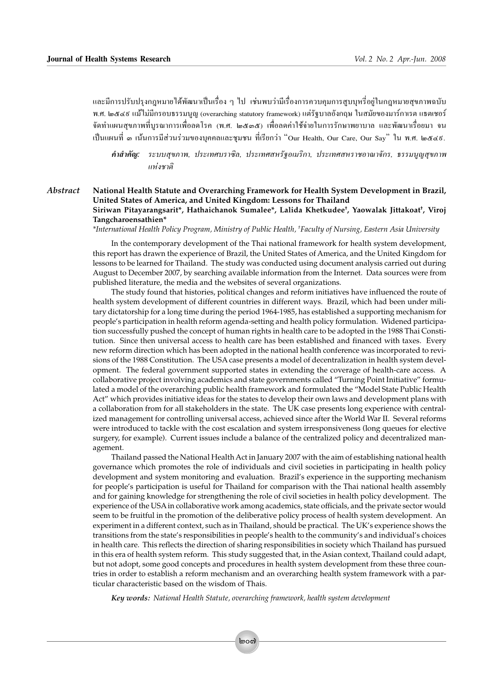.และมีการปรับปรุงกฎหมายได้พัฒนาเป็นเรื่อง ๆ ไป .เช่นพบว่ามีเรื่องการควบคุมการสูบบุหรื่อยู่ในกฎหมายสุขภาพฉบับ พ.ศ. ๒๕๔៩ แม้ไม่มีกรอบธรรมนูญ (overarching statutory framework) แต่รัฐบาลอังกฤษ ในสมัยของมาร์กาเรต แธตเชอร์ จัดทำแผนสุขภาพที่บูรณาการเพื่อลดโรค (พ.ศ. ๒๕๑๕) เพื่อลดค่าใช้จ่ายในการรักษาพยาบาล และพัฒนาเรื่อยมา จน เป็นแผนที่ ๑ เน้นการมีส่วนร่วมของบุคคลและชุมชน ที่เรียกว่า "Our Health, Our Care, Our Say" ใน พ.ศ. ๒๕๔ธ.

คำสำคัญ: ระบบสุขภาพ, ประเทศบราซิล, ประเทศสหรัฐอเมริกา, ประเทศสหราชอาณาจักร, ธรรมนูญสุขภาพ แห่งชาติ

#### Abstract National Health Statute and Overarching Framework for Health System Development in Brazil, United States of America, and United Kingdom: Lessons for Thailand Siriwan Pitayarangsarit\*, Hathaichanok Sumalee\*, Lalida Khetkudee<sup>†</sup>, Yaowalak Jittakoat<sup>†</sup>, Viroj Tangcharoensathien\*

\*International Health Policy Program, Ministry of Public Health, †Faculty of Nursing, Eastern Asia University

In the contemporary development of the Thai national framework for health system development, this report has drawn the experience of Brazil, the United States of America, and the United Kingdom for lessons to be learned for Thailand. The study was conducted using document analysis carried out during August to December 2007, by searching available information from the Internet. Data sources were from published literature, the media and the websites of several organizations.

The study found that histories, political changes and reform initiatives have influenced the route of health system development of different countries in different ways. Brazil, which had been under military dictatorship for a long time during the period 1964-1985, has established a supporting mechanism for people's participation in health reform agenda-setting and health policy formulation. Widened participation successfully pushed the concept of human rights in health care to be adopted in the 1988 Thai Constitution. Since then universal access to health care has been established and financed with taxes. Every new reform direction which has been adopted in the national health conference was incorporated to revisions of the 1988 Constitution. The USA case presents a model of decentralization in health system development. The federal government supported states in extending the coverage of health-care access. A collaborative project involving academics and state governments called "Turning Point Initiative" formulated a model of the overarching public health framework and formulated the "Model State Public Health Act" which provides initiative ideas for the states to develop their own laws and development plans with a collaboration from for all stakeholders in the state. The UK case presents long experience with centralized management for controlling universal access, achieved since after the World War II. Several reforms were introduced to tackle with the cost escalation and system irresponsiveness (long queues for elective surgery, for example). Current issues include a balance of the centralized policy and decentralized management.

Thailand passed the National Health Act in January 2007 with the aim of establishing national health governance which promotes the role of individuals and civil societies in participating in health policy development and system monitoring and evaluation. Brazil's experience in the supporting mechanism for people's participation is useful for Thailand for comparison with the Thai national health assembly and for gaining knowledge for strengthening the role of civil societies in health policy development. The experience of the USA in collaborative work among academics, state officials, and the private sector would seem to be fruitful in the promotion of the deliberative policy process of health system development. An experiment in a different context, such as in Thailand, should be practical. The UK's experience shows the transitions from the state's responsibilities in people's health to the community's and individual's choices in health care. This reflects the direction of sharing responsibilities in society which Thailand has pursued in this era of health system reform. This study suggested that, in the Asian context, Thailand could adapt, but not adopt, some good concepts and procedures in health system development from these three countries in order to establish a reform mechanism and an overarching health system framework with a particular characteristic based on the wisdom of Thais.

Key words: National Health Statute, overarching framework, health system development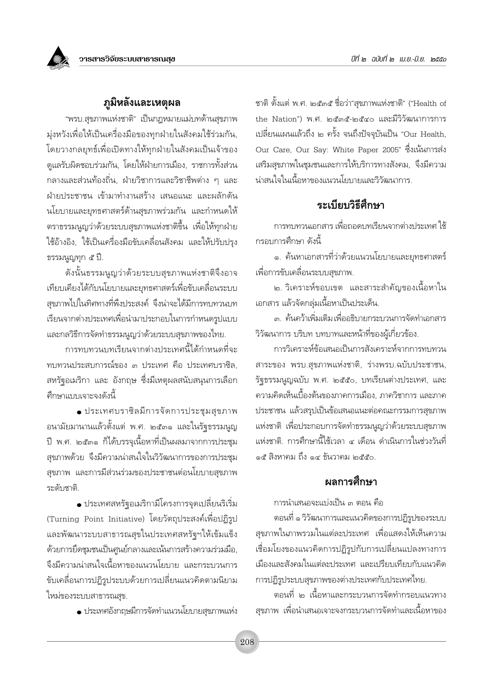

### ภูมิหลังและเหตุผล

"พรบ.สุขภาพแห่งชาติ" เป็นกฎหมายแม่บทด้านสุขภาพ มุ่งหวังเพื่อให้เป็นเครื่องมือของทุกฝ่ายในสังคมใช้ร่วมกัน, โดยวางกลยุทธ์เพื่อเปิดทางให้ทุกฝ่ายในสังคมเป็นเจ้าของ ดูแลรับผิดชอบร่วมกัน, โดยให้ฝ่ายการเมือง, ราชการทั้งส่วน ึกลางและส่วนท้องถิ่น, ฝ่ายวิชาการและวิชาชีพต่าง ๆ และ ฝ่ายประชาชน เข้ามาทำงานสร้าง เสนอแนะ และผลักดัน นโยบายและยทธศาสตร์ด้านสขภาพร่วมกัน และกำหนดให้ ตราธรรมนูญว่าด้วยระบบสุขภาพแห่งชาติขึ้น เพื่อให้ทุกฝ่าย ใช้อ้างอิง, ใช้เป็นเครื่องมือขับเคลื่อนสังคม และให้ปรับปรุง ธรรมนูญทุก ๕ ปี.

ดังนั้นธรรมนูญว่าด้วยระบบสุขภาพแห่งชาติจึงอาจ เทียบเคียงได้กับนโยบายและยุทธศาสตร์เพื่อขับเคลื่อนระบบ สขภาพไปในทิศทางที่พึงประสงค์ จึงน่าจะได้มีการทบทวนบท เรียนจากต่างประเทศเพื่อนำมาประกอบในการกำหนดรูปแบบ และกลวิธีการจัดทำธรรมนูญว่าด้วยระบบสุขภาพของไทย.

การทบทวนบทเรียนจากต่างประเทศนี้ได้กำหนดที่จะ ทบทวนประสบการณ์ของ ๓ ประเทศ คือ ประเทศบราซิล. ิสหรัฐอเมริกา และ อังกฤษ ซึ่งมีเหตุผลสนับสนุนการเลือก ์ศึกษาแบบเจาะจงดังนี้

• ประเทศบราซิลมีการจัดการประชุมสุขภาพ อนามัยมานานแล้วตั้งแต่ พ.ศ. ๒๕๓๑ และในรัฐธรรมนูญ ปี พ.ศ. ๒๕๓๑ ก็ได้บรรจุเนื้อหาที่เป็นผลมาจากการประชุม สุขภาพด้วย จึงมีความน่าสนใจในวิวัฒนาการของการประชุม สุขภาพ และการมีส่วนร่วมของประชาชนต่อนโยบายสุขภาพ ระดับ เชาติ

• ประเทศสหรัฐอเมริกามีโครงการจุดเปลี่ยนริเริ่ม (Turning Point Initiative) โดยวัตถุประสงค์เพื่อปฏิรูป และพัฒนาระบบสาธารณสุขในประเทศสหรัฐฯให้เข้มแข็ง ด้วยการยึดชุมชนเป็นศูนย์กลางและเน้นการสร้างความร่วมมือ, จึงมีความน่าสนใจเนื้อหาของแนวนโยบาย และกระบวนการ ขับเคลื่อนการปฏิรูประบบด้วยการเปลี่ยนแนวคิดตามนิยาม ใหม่ของระบบสาธารณสุข.

• ประเทศอังกฤษมีการจัดทำแนวนโยบายสุขภาพแห่ง

ชาติ ตั้งแต่ พ.ศ. ๒๕๓๕ ชื่อว่า"สุขภาพแห่งชาติ" ("Health of the Nation") พ.ศ. ๒๕๓๕-๒๕๔๐ และมีวิวัฒนาการการ เปลี่ยนแผนแล้วถึง ๒ ครั้ง จนถึงปัจจุบันเป็น "Our Health, Our Care, Our Say: White Paper 2005" ซึ่งเน้นการส่ง เสริมสุขภาพในชุมชนและการให้บริการทางสังคม, จึงมีความ น่าสนใจในเนื้อหาของแนวนโยบายและวิวัฒนาการ.

### ระเบียบวิธีศึกษา

การทบทวนเอกสาร เพื่อถอดบทเรียนจากต่างประเทศ ใช้ กรอบการศึกษา ดังนี้

๑. ค้นหาเอกสารที่ว่าด้วยแนวนโยบายและยทธศาสตร์ เพื่อการขับเคลื่อนระบบสุขภาพ.

๒. วิเคราะห์ขอบเขต และสาระสำคัญของเนื้อหาใน เอกสาร แล้วจัดกล่มเนื้อหาเป็นประเด็น.

๓. ค้นคว้าเพิ่มเติมเพื่ออธิบายกระบวนการจัดทำเอกสาร ้วิวัฒนาการ บริบท บทบาทและหน้าที่ของผู้เกี่ยวข้อง.

การวิเคราะห์ข้อเสนอเป็นการสังเคราะห์จากการทบทวน สาระของ พรบ.สุขภาพแห่งชาติ, ร่างพรบ.ฉบับประชาชน, รัฐธรรมนูญฉบับ พ.ศ. ๒๕๕๐, บทเรียนต่างประเทศ, และ ความคิดเห็นเบื้องต้นของภาคการเมือง, ภาควิชาการ และภาค ประชาชน แล้วสรุปเป็นข้อเสนอแนะต่อคณะกรรมการสุขภาพ แห่งชาติ เพื่อประกอบการจัดทำธรรมนูญว่าด้วยระบบสุขภาพ แห่งชาติ. การศึกษานี้ใช้เวลา ๔ เดือน ดำเนินการในช่วงวันที่ ด๕ สิงหาคม ถึง ๑๔ ธันวาคม ๒๕๕๐.

### ผลการศึกษา

การนำเสนอจะแบ่งเป็น ๓ ตอน คือ

้ตอนที่ ๑ วิวัฒนาการและแนวคิดของการปฏิรูปของระบบ สุขภาพในภาพรวมในแต่ละประเทศ เพื่อแสดงให้เห็นความ เชื่อมโยงของแนวคิดการปฏิรูปกับการเปลี่ยนแปลงทางการ เมืองและสังคมในแต่ละประเทศ และเปรียบเทียบกับแนวคิด การปฏิรูประบบสุขภาพของต่างประเทศกับประเทศไทย.

ตอนที่ ๒ เนื้อหาและกระบวนการจัดทำกรอบแนวทาง สุขภาพ เพื่อนำเสนอเจาะจงกระบวนการจัดทำและเนื้อหาของ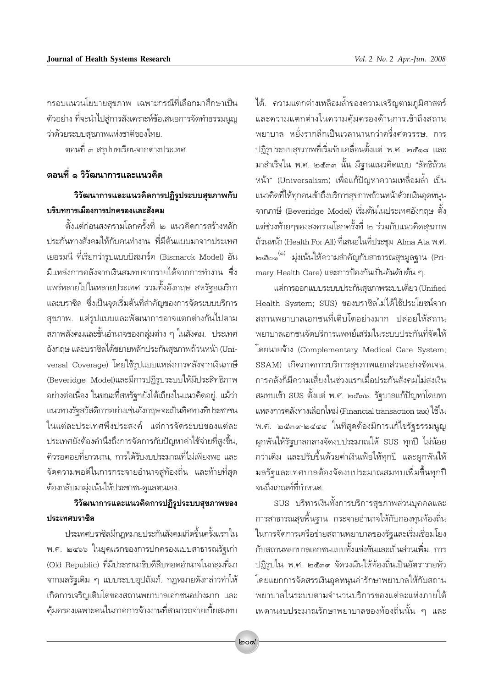กรอบแนวนโยบายสุขภาพ เฉพาะกรณีที่เลือกมาศึกษาเป็น ตัวอย่าง ที่จะนำไปสู่การสังเคราะห์ข้อเสนอการจัดทำธรรมนูญ ว่าด้วยระบบสขภาพแห่งชาติของไทย.

้ตอนที่ ๓ สรุปบทเรียนจากต่างประเทศ.

### ้ตอนที่ ๑ วิวัฒนาการและแนวคิด

### วิวัฒนาการและแนวคิดการปฏิรูประบบสุขภาพกับ บริบทการเมืองการปกครองและสังคม

ตั้งแต่ก่อนสงครามโลกครั้งที่ ๒ แนวคิดการสร้างหลัก ประกันทางสังคมให้กับคนทำงาน ที่มีต้นแบบมาจากประเทศ เยอรมนี ที่เรียกว่ารูปแบบบิสมาร์ค (Bismarck Model) อัน ้มีแหล่งการคลังจากเงินสมทบจากรายได้จากการทำงาน ซึ่ง แพร่หลายไปในหลายประเทศ รวมทั้งอังกฤษ สหรัฐอเมริกา และบราซิล ซึ่งเป็นจุดเริ่มต้นที่สำคัญของการจัดระบบบริการ สุขภาพ. แต่รูปแบบและพัฒนาการอาจแตกต่างกันไปตาม ิสภาพสังคมและชั้นอำนาจของกลุ่มต่าง ๆ ในสังคม. ประเทศ อังกฤษ และบราซิลได้ขยายหลักประกันสุขภาพถ้วนหน้า (Universal Coverage) โดยใช้รูปแบบแหล่งการคลังจากเงินภาษี (Beveridge Model)และมีการปฏิรูประบบให้มีประสิทธิภาพ ้อย่างต่อเนื่อง ในขณะที่สหรัฐฯยังโต้เถียงในแนวคิดอยู่. แม้ว่า แนวทางรัฐสวัสดิการอย่างเช่นอังกฤษจะเป็นทิศทางที่ประชาชน ในแต่ละประเทศพึ่งประสงค์ แต่การจัดระบบของแต่ละ ประเทศยังต้องคำนึงถึงการจัดการกับปัญหาค่าใช้จ่ายที่สูงขึ้น, คิวรอคอยที่ยาวนาน. การได้รับงบประมาณที่ไม่เพียงพอ และ จัดความพอดีในการกระจายอำนาจสู่ท้องถิ่น และท้ายที่สุด ต้องกลับมามุ่งเน้นให้ประชาชนดูแลตนเอง.

### วิวัฒนาการและแนวคิดการปฏิรูประบบสุขภาพของ ประเทศบราซิล

ประเทศบราซิลมีกฎหมายประกันสังคมเกิดขึ้นครั้งแรกใน พ.ศ. ๒๔๖๖ ในยุคแรกของการปกครองแบบสาธารณรัฐเก่า (Old Republic) ที่มีประธานาธิบดีสืบทอดอำนาจในกลุ่มที่มา จากมลรัฐเดิม ๆ แบบระบบอุปถัมภ์. กฎหมายดังกล่าวทำให้ เกิดการเจริญเติบโตของสถานพยาบาลเอกชนอย่างมาก และ คุ้มครองเฉพาะคนในภาคการจ้างงานที่สามารถจ่ายเบี้ยสมทบ ได้. ความแตกต่างเหลื่อมล้ำของความเจริญตามภูมิศาสตร์ และความแตกต่างในความคุ้มครองด้านการเข้าถึงสถาน ้พยาบาล หยั่งรากลึกเป็นเวลานานกว่าครึ่งศตวรรษ. การ ปฏิรูประบบสุขภาพที่เริ่มขับเคลื่อนตั้งแต่ พ.ศ. ๒๕๑๘ และ มาสำเร็จใน พ.ศ. ๒๕๓๓ นั้น มีฐานแนวคิดแบบ "ลัทธิถ้วน หน้า" (Universalism) เพื่อแก้ปัญหาความเหลื่อมล้ำ เป็น แนวคิดที่ให้ทุกคนเข้าถึงบริการสุขภาพถ้วนหน้าด้วยเงินอุดหนุน จากภาษี (Beveridge Model) เริ่มต้นในประเทศอังกฤษ ตั้ง แต่ช่วงท้ายๆของสงครามโลกครั้งที่ ๒ ร่วมกับแนวคิดสุขภาพ ถ้วนหน้า (Health For All) ที่เสนอในที่ประชุม Alma Ata พ.ศ. ๒๕๒๑<sup>(๑)</sup> มุ่งเน้นให้ความสำคัญกับสาธารณสุขมูลฐาน (Primary Health Care) และการป้องกันเป็นอันดับต้น ๆ.

แต่การออกแบบระบบประกันสุขภาพระบบเดี่ยว (Unified Health System; SUS) ของบราซิลไม่ได้ใช้ประโยชน์จาก สถานพยาบาลเอกชนที่เติบโตอย่างมาก ปล่อยให้สถาน ้พยาบาลเอกชนจัดบริการแพทย์เสริมในระบบประกันที่จัดให้ โดยนายจ้าง (Complementary Medical Care System; SSAM) เกิดภาคการบริการสุขภาพแยกส่วนอย่างชัดเจน. การคลังก็มีความเสี่ยงในช่วงแรกเมื่อประกันสังคมไม่ส่งเงิน สมทบเข้า SUS ตั้งแต่ พ.ศ. ๒๕๓๖. รัฐบาลแก้ปัญหาโดยหา แหล่งการคลังทางเลือกใหม่ (Financial transaction tax) ใช้ใน พ.ศ. ๒๕๓๙-๒๕๔๔ ในที่สุดต้องมีการแก้ไขรัฐธรรมนูญ ผูกพันให้รัฐบาลกลางจัดงบประมาณให้ SUS ทุกปี ไม่น้อย ้กว่าเดิม และปรับขึ้นด้วยค่าเงินเฟ้อให้ทุกปี และผูกพันให้ มลรัฐและเทศบาลต้องจัดงบประมาณสมทบเพิ่มขึ้นทุกปี จนถึงเกณฑ์ที่กำหนด

SUS บริหารเงินทั้งการบริการสุขภาพส่วนบุคคลและ การสาธารณสุขพื้นฐาน กระจายอำนาจให้กับกองทุนท้องถิ่น ในการจัดการเครือข่ายสถานพยาบาลของรัฐและเริ่มเชื่อมโยง ้กับสถานพยาบาลเอกชนแบบทั้งแข่งขันและเป็นส่วนเพิ่ม. การ ปฏิรูปใน พ.ศ. ๒๕๓๙ จัดวงเงินให้ท้องถิ่นเป็นอัตรารายหัว โดยแยกการจัดสรรเงินอุดหนุนค่ารักษาพยาบาลให้กับสถาน พยาบาลในระบบตามจำนวนบริการของแต่ละแห่งภายใต้ เพดานงบประมาณรักษาพยาบาลของท้องถิ่นนั้น ๆ และ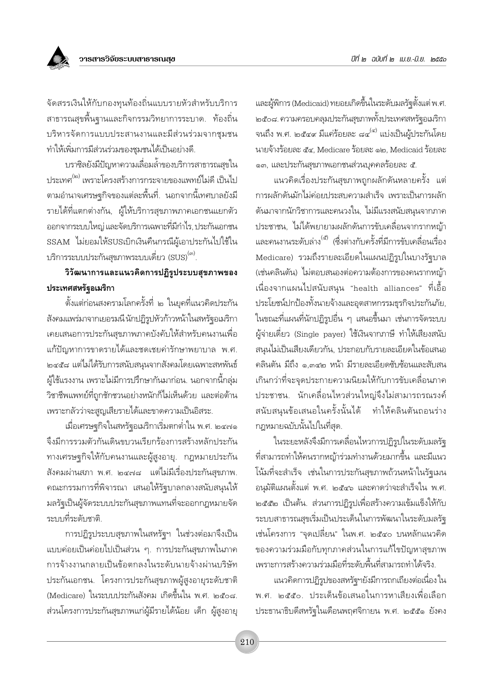จัดสรรเงินให้กับกองทุนท้องถิ่นแบบรายหัวสำหรับบริการ ีสาธารณสุขพื้นฐานและกิจกรรมวิทยาการระบาด. ท้องถิ่น บริหารจัดการแบบประสานงานและมีส่วนร่วมจากชมชน ทำให้เพิ่มการมีส่วนร่วมของชุมชนได้เป็นอย่างดี.

้บราซิลยังมีปัญหาความเลื่อมล้ำของบริการสาธารณสุขใน ประเทศ<sup>(๒)</sup> เพราะโครงสร้างการกระจายของแพทย์ไม่ดี เป็นไป ตามอำนาจเศรษจกิจของแต่ละพื้นที่. นอกจากนี้เทศบาลยังมี รายได้ที่แตกต่างกัน, ผู้ให้บริการสุขภาพภาคเอกชนแยกตัว ออกจากระบบใหญ่ และจัดบริการเฉพาะที่มีกำไร, ประกันเอกชน SSAM ไม่ยอมให้รบรเบิกเงินคืนกรณีผู้เอาประกันไปใช้ใน บริการระบบประกันสุขภาพระบบเดี่ยว (SUS)<sup>(๓)</sup>.

### วิวัฒนาการและแนวคิดการปฏิรูประบบสุขภาพของ ประเทศสหรัฐอเมริกา

ตั้งแต่ก่อนสงครามโลกครั้งที่ ๒ ในยุคที่แนวคิดประกัน สังคมแพร่มาจากเยอรมนี้ นักปฏิรูปหัวก้าวหน้าในสหรัฐอเมริกา ้เคยเสนอการประกันสุขภาพภาคบังคับให้สำหรับคนงานเพื่อ แก้ปัญหาการขาดรายได้และชดเชยค่ารักษาพยาบาล พ.ศ. ๒๔๕๘ แต่ไม่ได้รับการสนับสนุนจากสังคมโดยเฉพาะสหพันธ์ ผู้ใช้แรงงาน เพราะไม่มีการปรึกษากันมาก่อน. นอกจากนี้กลุ่ม วิชาชีพแพทย์ที่ถูกชักชวนอย่างหนักก็ไม่เห็นด้วย และต่อต้าน เพราะกลัวว่าจะสูญเสียรายได้และขาดความเป็นอิสระ.

เมื่อเศรษจุกิจในสหรัฐอเมริกาเริ่มตกต่ำใน พ.ศ. ๒๔๗๑ จึงมีการรวมตัวกันเดินขบวนเรียกร้องการสร้างหลักประกัน ทางเศรษฐกิจให้กับคนงานและผู้สูงอายุ. กฎหมายประกัน สังคมผ่านสภา พ.ศ. ๒๔๗๘ แต่ไม่มีเรื่องประกันสุขภาพ. ึ คณะกรรมการที่พิจารณา เสนอให้รัฐบาลกลางสนับสนุนให้ มลรัฐเป็นผู้จัดระบบประกันสุขภาพแทนที่จะออกกฎหมายจัด ระบบที่ระดับชาติ.

การปฏิรูประบบสุขภาพในสหรัฐฯ ในช่วงต่อมาจึงเป็น แบบค่อยเป็นค่อยไปเป็นส่วน ๆ. การประกันสุขภาพในภาค การจ้างงานกลายเป็นข้อตกลงในระดับนายจ้างผ่านบริษัท ประกันเอกชน. โครงการประกันสุขภาพผู้สูงอายุระดับชาติ (Medicare) ในระบบประกันสังคม เกิดขึ้นใน พ.ศ. ๒๕๐๘. ส่วนโครงการประกันสุขภาพแก่ผู้มีรายได้น้อย เด็ก ผู้สูงอายุ และผู้พิการ (Medicaid) ทยอยเกิดขึ้นในระดับมลรัฐตั้งแต่ พ.ศ. <u>๒๕๐๘. ความครอบคลุมประกันสุขภาพทั้งประเทศสหรัฐอเมริกา</u> จนถึง พ.ศ. ๒๕๔๙ มีแค่ร้อยละ ๘๔<sup>(๔)</sup> แบ่งเป็นผู้ประกันโดย นายจ้างร้อยละ ๕๔. Medicare ร้อยละ ๑๒. Medicaid ร้อยละ ึ๑๓, และประกันสุขภาพเอกชนส่วนบุคคลร้อยละ ๕.

แนวคิดเรื่องประกันสุขภาพถูกผลักดันหลายครั้ง แต่ การผลักดันมักไม่ค่อยประสบความสำเร็จ เพราะเป็นการผลัก ดันมาจากนักวิชาการและคนวงใน, ไม่มีแรงสนับสนุนจากภาค ประชาชน, ไม่ได้พยายามผลักดันการขับเคลื่อนจากรากหญ้า และคนงานระดับล่าง<sup>(๕)</sup> (ซึ่งต่างกับครั้งที่มีการขับเคลื่อนเรื่อง Medicare) รวมถึงรายละเอียดในแผนปฏิรูปในบางรัฐบาล (เช่นคลินตัน) ไม่ตอบสนองต่อความต้องการของคนรากหญ้า เนื่องจากแผนไปสนับสนุน "health alliances" ที่เอื้อ ประโยชน์ปกป้องทั้งนายจ้างและอุตสาหกรรมธุรกิจประกันภัย, ในขณะที่แผนที่นักปฏิรูปอื่น ๆ เสนอขึ้นมา เช่นการจัดระบบ ผู้จ่ายเดี่ยว (Single payer) ใช้เงินจากภาษี ทำให้เสียงสนับ สนุนไม่เป็นเสียงเดียวกัน, ประกอบกับรายละเอียดในข้อเสนอ คลินตัน มีถึง ๑.๓๔๒ หน้า มีรายละเอียดซับซ้อนและสับสน เกินกว่าที่จะจุดประกายความนิยมให้กับการขับเคลื่อนภาค ประชาชน. นักเคลื่อนไหวส่วนใหญ่จึงไม่สามารถรณรงค์ สนับสนนข้อเสนอในครั้งนั้นได้ ทำให้คลินตันถอนร่าง กฎหมายฉบับนั้นไปในที่สุด.

ในระยะหลังจึงมีการเคลื่อนไหวการปฏิรูปในระดับมลรัฐ ู้ที่สามารถทำให้คนรากหญ้าร่วมทำงานด้วยมากขึ้น และมีแนว โน้มที่จะสำเร็จ เช่นในการประกันสุขภาพถ้วนหน้าในรัฐเมน อนุมัติแผนตั้งแต่ พ.ศ. ๒๕๔๖ และคาดว่าจะสำเร็จใน พ.ศ. ้๒๕๕๒ เป็นต้น. ส่วนการปฏิรูปเพื่อสร้างความเข้มแข็งให้กับ ระบบสาธารณสุขเริ่มเป็นประเด็นในการพัฒนาในระดับมลรัฐ เช่นโครงการ "จุดเปลี่ยน" ในพ.ศ. ๒๕๔๐ บนหลักแนวคิด ของความร่วมมือกับทุกภาคส่วนในการแก้ไขปัญหาสุขภาพ เพราะการสร้างความร่วมมือที่ระดับพื้นที่สามารถทำได้จริง.

แนวคิดการปฏิรูปของสหรัฐฯยังมีการถกเถียงต่อเนื่อง ใน พ.ศ. ๒๕๕๐. ประเด็นข้อเสนอในการหาเสียงเพื่อเลือก ประธานาธิบดีสหรัฐในเดือนพฤศจิกายน พ.ศ. ๒๕๕๑ ยังคง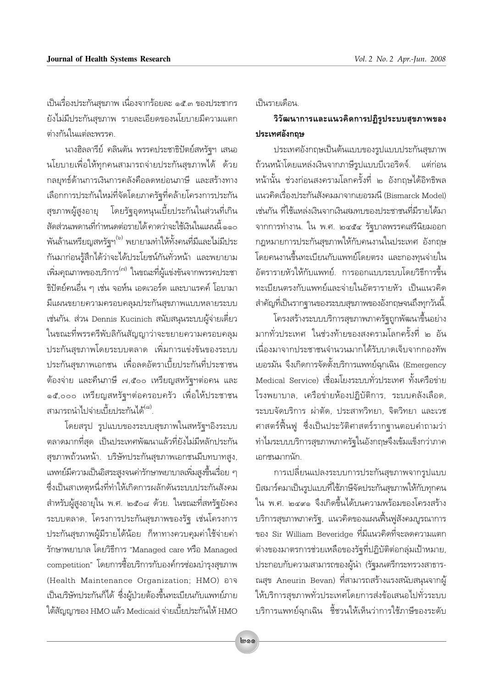เป็นเรื่องประกันสุขภาพ เนื่องจากร้อยละ ๑๕.๓ ของประชากร ยังไม่มีประกันสุขภาพ รายละเอียดของนโยบายมีความแตก ต่างกันในแต่ละพรรค

นางฮิลลารีย์ คลินตัน พรรคประชาธิปัตย์สหรัฐฯ เสนอ ็นโยบายเพื่อให้ทุกคนสามารถจ่ายประกันสุขภาพได้ ด้วย ึกลยุทธ์ด้านการเงินการคลังคือลดหย่อนภาษี และสร้างทาง เลือกการประกันใหม่ที่จัดโดยภาครัฐที่คล้ายโครงการประกัน ์ สุขภาพผู้สูงอายุ โดยรัฐอุดหนุนเบี้ยประกันในส่วนที่เกิน ลัดส่วนเพดานที่กำหนดต่อรายได้ คาดว่าจะใช้เงินในแผนนี้ ๑๑๐ พันล้านเหรียญสหรัฐฯ<sup>(๖)</sup> พยายามทำให้ทั้งคนที่มีและไม่มีประ กันมาก่อนรู้สึกได้ว่าจะได้ประโยชน์กันทั่วหน้า และพยายาม เพิ่มคุณภาพของบริการ<sup>(๗)</sup> ในขณะที่ผู้แข่งขันจากพรรคประชา ู้ธิปัตย์คนอื่น ๆ เช่น จอห์น เอดเวอร์ด และบาแรคค์ โอบามา ้มีแผนขยายความครอบคลุมประกันสุขภาพแบบหลายระบบ ี่ เช่นกัน. ส่วน Dennis Kucinich สนับสนุนระบบผู้จ่ายเดี่ยว ู้ในขณะที่พรรครีพับลิกันสัญญาว่าจะขยายความครอบคลุม ประกันสุขภาพโดยระบบตลาด เพิ่มการแข่งขันของระบบ ประกันสุขภาพเอกชน เพื่อลดอัตราเบื้ยประกันที่ประชาชน ู้ต้องจ่าย และคืนภาษี ๗,๕๐๐ เหรียญสหรัฐฯต่อคน และ ๑๕,๐๐๐ เหรียญสหรัฐฯต่อครอบครัว เพื่อให้ประชาชน สามารถนำไปจ่ายเบี้ยประกันได้ ື່

์ โดยสรุป รูปแบบของระบบสุขภาพในสหรัฐฯอิงระบบ ู้ ตลาดมากที่สุด เป็นประเทศพัฒนาแล้วที่ยังไม่มีหลักประกัน สุขภาพถ้วนหน้า. บริษัทประกันสุขภาพเอกชนมีบทบาทสูง, เเพทย์มีความเป็นอิสระสูงจนค่ารักษาพยาบาลเพิ่มสูงขึ้นเรื่อย ๆ ซึ่งเป็นสาเหตุหนึ่งที่ทำให้เกิดการผลักดันระบบประกันสังคม สำหรับผู้สูงอายุใน พ.ศ. ๒๕๐๘ ด้วย. ในขณะที่สหรัฐยังคง ระบบตลาด, โครงการประกันสุขภาพของรัฐ เช่นโครงการ ประกันสุขภาพผู้มีรายได้น้อย ก็หาทางควบคุมค่าใช้จ่ายค่า รักษาพยาบาล โดยวิธีการ "Managed care หรือ Managed competition" โดยการซื้อบริการกับองค์กรซ่อมบำรุงสุขภาพ (Health Maintenance Organization; HMO) อาจ เป็นบริษัทประกันก็ได้ ซึ่งผู้ป่วยต้องขึ้นทะเบียนกับแพทย์ภาย ใต้สัญญาของ HMO แล้ว Medicaid จ่ายเบี้ยประกันให้ HMO เป็นรายเดือน.

### วิวัฒนาการและแนวคิดการปฏิรูประบบสุขภาพของ ึ์<br>ประเทศอังกถษ

ประเทศอังกฤษเป็นต้นแบบของรูปแบบประกันสุขภาพ ้ถ้วนหน้าโดยแหล่งเงินจากภาษีรูปแบบบีเวอริดจ์. แต่ก่อน ึหน้านั้น ช่วงก่อนสงครามโลกครั้งที่ ๒ อังกฤษได้อิทธิพล แนวคิดเรื่องประกันสังคมมาจากเยอรมนี (Bismarck Model) ู้<br>เช่นกัน ที่ใช้แหล่งเงินจากเงินสมทบของประชาชนที่มีรายได้มา จากการทำงาน. ใน พ.ศ. ๒๔๕๔ รัฐบาลพรรคเสรีนิยมออก ึกฎหมายการประกันสุขภาพให้กับคนงานในประเทศ อังกฤษ ์ โดยคนงานขึ้นทะเบียนกับแพทย์โดยตรง และกองทุนจ่ายใน อัตรารายหัวให้กับแพทย์. การออกแบบระบบโดยวิธีการขึ้น ึทะเบียนตรงกับแพทย์และจ่ายในอัตรารายหัว เป็นแนวคิด ี สำคัญที่เป็นรากฐานของระบบสุขภาพของอังกฤษจนถึงทุกวันนี้.

์ โครงสร้างระบบบริการสุขภาพภาครัฐถูกพัฒนาขึ้นอย่าง ี<br>มากทั่วประเทศ ในช่วงท้ายของสงครามโลกครั้งที่ ๒ อัน เนื่องมาจากประชาชนจำนวนมากได้รับบาดเจ็บจากกองทัพ เยอรมัน จึงเกิดการจัดตั้งบริการแพทย์ฉุกเฉิน (Emergency Medical Service) เชื่อมโยงระบบทั่วประเทศ ทั้งเครือข่าย ∫รงพยาบาล, เครือข่ายห้องปฏิบัติการ, ระบบคลังเลือด, ้ระบบจัดบริการ ผ่าตัด, ประสาทวิทยา, จิตวิทยา และเวช ์ ศาสตร์ฟื้นฟู ∴ซึ่งเป็นประวัติศาสตร์รากฐานตอบคำถามว่า ทำไมระบบบริการสุขภาพภาครัฐในอังกฤษจึงเข้มแข็งกว่าภาค เอกชนมากนัก

ึการเปลี่ยนแปลงระบบการประกันสุขภาพจากรูปแบบ ้บิสมาร์คมาเป็นรูปแบบที่ใช้ภาษีจัดประกันสุขภาพให้กับทุกคน ใน พ.ศ. ๒๔๙๑ จึงเกิดขึ้นได้บนความพร้อมของโครงสร้าง ิ บริการสุขภาพภาครัฐ, แนวคิดของแผนฟื้นฟูสังคมบูรณาการ ิของ Sir William Beveridge ที่มีแนวคิดที่จะลดความแตก ต่างของมาตรการช่วยเหลือของรัฐที่ปฏิบัติต่อกลุ่มเป้าหมาย, ประกอบกับความสามารถของผู้นำ (รัฐมนตรีกระทรวงสาธาร-ิณสุข Aneurin Bevan) ที่สามารถสร้างแรงสนับสนุนจากผู้ ให้บริการสุขภาพทั่วประเทศโดยการส่งข้อเสนอไปทั่วระบบ ึ บริการแพทย์ฉุกเฉิน ชี้ชวนให้เห็นว่าการใช้ภาษีของระดับ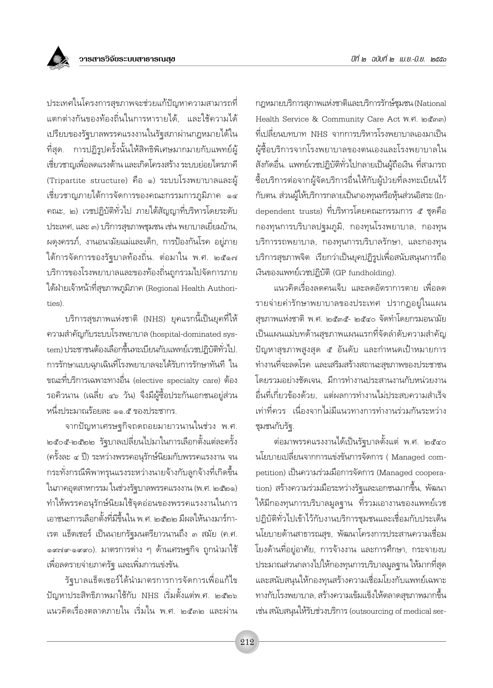ประเทศในโครงการสุขภาพจะช่วยแก้ปัญหาความสามารถที่ แตกต่างกันของท้องถิ่นในการหารายได้, และใช้ความได้ <u>เปรียบของรัฐบาลพรรคแรงงานในรัฐสภาผ่านกฎหมายได้ใน</u> ที่สุด. การปฏิรูปครั้งนั้นให้สิทธิพิเศษมากมายกับแพทย์ผู้ เชี่ยวชาญเพื่อลดแรงต้าน และเกิดโครงสร้าง ระบบย่อยไตรภาคี (Tripartite structure) คือ ๑) ระบบโรงพยาบาลและผู้ เชี่ยวชาญภายใต้การจัดการของคณะกรรมการภูมิภาค ๑๔ คณะ, ๒) เวชปฏิบัติทั่วไป ภายใต้สัญญาที่บริหารโดยระดับ ประเทศ, และ ๓) บริการสุขภาพชุมชน เช่น พยาบาลเยี่ยมบ้าน, ผดุงครรภ์, งานอนามัยแม่และเด็ก, การป้องกันโรค อยู่ภาย ใต้การจัดการของรัฐบาลท้องถิ่น. ต่อมาใน พ.ศ. ๒๕๑๗ บริการของโรงพยาบาลและของท้องถิ่นถูกรวมไปจัดการภาย ใต้ฝ่ายเจ้าหน้าที่สุขภาพภูมิภาค (Regional Health Authorities).

้บริการสุขภาพแห่งชาติ (NHS) ยุคแรกนี้เป็นยุคที่ให้ ความสำคัญกับระบบโรงพยาบาล (hospital-dominated system) ประชาชนต้องเลือกขึ้นทะเบียนกับแพทย์เวชปฏิบัติทั่วไป. การรักษาแบบฉกเฉินที่โรงพยาบาลจะได้รับการรักษาทันที ใน ขณะที่บริการเฉพาะทางอื่น (elective specialty care) ต้อง รอคิวนาน (เฉลี่ย ๔๖ วัน) จึงมีผู้ซื้อประกันเอกชนอยู่ส่วน หนึ่งประมาณร้อยละ ๑๑.๕ ของประชากร.

จากปัญหาเศรษฐกิจถดถอยมายาวนานในช่วง พ.ศ. ๒๕๐๕-๒๕๒๒ รัฐบาลเปลี่ยนไปมาในการเลือกตั้งแต่ละครั้ง (ครั้งละ ๔ ปี) ระหว่างพรรคอนุรักษ์นิยมกับพรรคแรงงาน จน กระทั่งกรณีพิพาทรุนแรงระหว่างนายจ้างกับลูกจ้างที่เกิดขึ้น ในภาคอุตสาหกรรม ในช่วงรัฐบาลพรรคแรงงาน (พ.ศ. ๒๕๒๑) ทำให้พรรคอนุรักษ์นิยมใช้จุดอ่อนของพรรคแรงงานในการ เอาชนะการเลือกตั้งที่มีขึ้นใน พ.ศ. ๒๕๒๒ มีผลให้นางมาร์กา-เรต แธ็ตเชอร์ เป็นนายกรัฐมนตรียาวนานถึง ๓ สมัย (ค.ศ. ๑๙๗๙-๑๙๙๐). มาตรการต่าง ๆ ด้านเศรษฐกิจ ถูกนำมาใช้ เพื่อลดรายจ่ายภาครัฐ และเพิ่มการแข่งขัน.

รัฐบาลแธ็ตเชอร์ได้นำมาตรการการจัดการเพื่อแก้ไข ปัญหาประสิทธิภาพมาใช้กับ NHS เริ่มตั้งแต่พ.ศ. ๒๕๒๖ แนวคิดเรื่องตลาดภายใน เริ่มใน พ.ศ. ๒๕๓๒ และผ่าน

กฎหมายบริการสุภาพแห่งชาติและบริการรักษ์ชุมชน (National Health Service & Community Care Act พ.ศ. ๒๕๓๓) ที่เปลี่ยนบทบาท NHS จากการบริหารโรงพยาบาลเองมาเป็น ผู้ซื้อบริการจากโรงพยาบาลของตนเองและโรงพยาบาลใน สังกัดอื่น. แพทย์เวชปฏิบัติทั่วไปกลายเป็นผู้ถือเงิน ที่สามารถ ชื้อบริการต่อจากผู้จัดบริการอื่นให้กับผู้ป่วยที่ลงทะเบียนไว้ กับตน. ส่วนผู้ให้บริการกลายเป็นกองทุนหรือหุ้นส่วนอิสระ (Independent trusts) ที่บริหารโดยคณะกรรมการ ๕ ชุดคือ กองทุนการบริบาลปฐมภูมิ, กองทุนโรงพยาบาล, กองทุน บริการรถพยาบาล, กองทุนการบริบาลรักษา, และกองทุน ้บริการสุขภาพจิต เรียกว่าเป็นยุคปฏิรูปเพื่อสนับสนุนการถือ เงินของแพทย์เวชปฏิบัติ (GP fundholding).

แนวคิดเรื่องลดคนเจ็บ และลดอัตราการตาย เพื่อลด รายจ่ายค่ารักษาพยาบาลของประเทศ ปรากฏอยู่ในแผน สุขภาพแห่งชาติ พ.ศ. ๒๕๓๕- ๒๕๔๐ จัดทำโดยกรมอนามัย เป็นแผนแม่บทด้านสุขภาพแผนแรกที่จัดลำดับความสำคัญ ปัญหาสุขภาพสูงสุด ๕ อันดับ และกำหนดเป้าหมายการ ทำงานที่จะลดโรค และเสริมสร้างสถานะสุขภาพของประชาชน โดยรวมอย่างชัดเจน, มีการทำงานประสานงานกับหน่วยงาน อื่นที่เกี่ยวข้องด้วย แต่ผลการทำงานไม่ประสบความสำเร็จ เท่าที่ควร เนื่องจากไม่มีแนวทางการทำงานร่วมกันระหว่าง ชุมชนกับรัฐ.

้ต่อมาพรรคแรงงานได้เป็นรัฐบาลตั้งแต่ พ.ศ. ๒๕๔๐ นโยบายเปลี่ยนจากการแข่งขันการจัดการ ( Managed competition) เป็นความร่วมมือการจัดการ (Managed cooperation) สร้างความร่วมมือระหว่างรัฐและเอกชนมากขึ้น, พัฒนา ให้มีกองทุนการบริบาลมูลฐาน ที่รวมเอางานของแพทย์เวช ปฏิบัติทั่วไปเข้าไว้กับงานบริการชุมชนและเชื่อมกับประเด็น นโยบายด้านสาธารณสุข, พัฒนาโครงการประสานความเชื่อม โยงด้านที่อยู่อาศัย, การจ้างงาน และการศึกษา, กระจายงบ ้ประมาณส่วนกลางไปให้กองทุนการบริบาลมูลฐาน ให้มากที่สุด และสนับสนุนให้กองทุนสร้างความเชื่อมโยงกับแพทย์เฉพาะ ทางกับโรงพยาบาล, สร้างความเข้มแข็งให้ตลาดสุขภาพมากขึ้น เช่น สนับสนุนให้รับช่วงบริการ (outsourcing of medical ser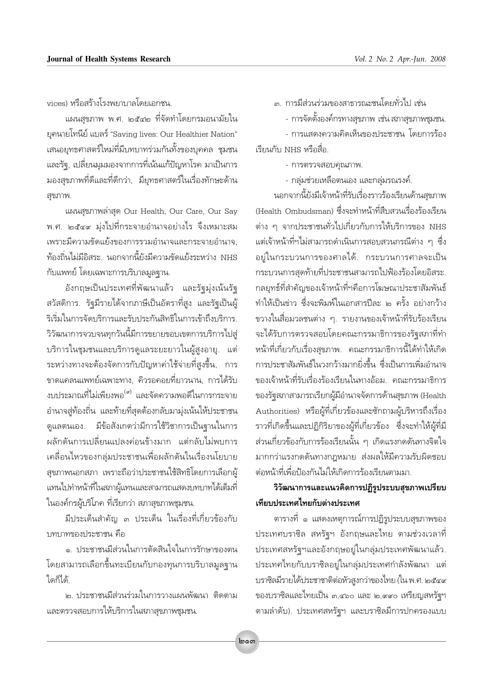vices) หรือสร้างโรงพยาบาลโดยเอกชน

แผนสุขภาพ พ.ศ. ๒๕๔๒ ที่จัดทำโดยกรมอนามัยใน ยุคนายโทนีย์ แบลร์ "Saving lives: Our Healthier Nation" เสนอยุทธศาสตร์ใหม่ที่มีบทบาทร่วมกันทั้งของบุคคล ชุมชน และรัฐ, เปลี่ยนมุมมองจากการที่เน้นแก้ปัญหาโรค มาเป็นการ ุ่มองสุขภาพที่ดีและที่ดีกว่า, มียุทธศาสตร์ในเรื่องทักษะด้าน สขภาพ.

แผนสุขภาพล่าสุด Our Health, Our Care, Our Say พ.ศ. ๒๕๔๙ มุ่งไปที่กระจายอำนาจอย่างไร จึงเหมาะสม เพราะมีความขัดแย้งของการรวมอำนาจและกระจายอำนาจ. ท้องถิ่นไม่มีอิสระ, นอกจากนี้ยังมีความขัดแย้งระหว่าง NHS กับแพทย์ โดยเฉพาะการบริบาลมูลฐาน.

้อังกฤษเป็นประเทศที่พัฒนาแล้ว และรัฐมุ่งเน้นรัฐ สวัสดิการ. รัฐมีรายได้จากภาษีเป็นอัตราที่สูง และรัฐเป็นผู้ ริเริ่มในการจัดบริการและรับประกันสิทธิในการเข้าถึงบริการ. วิวัฒนาการจวบจนทุกวันนี้มีการขยายขอบเขตการบริการไปสู่ บริการในชุมชนและบริการดูแลระยะยาวในผู้สูงอายุ. แต่ ระหว่างทางจะต้องจัดการกับปัญหาค่าใช้จ่ายที่สูงขึ้น, การ ขาดแคลนแพทย์เฉพาะทาง, คิวรอคอยที่ยาวนาน, การได้รับ งบประมาณที่ไม่เพียงพอ<sup>(๙)</sup> และจัดความพอดีในการกระจาย อำนาจสู่ท้องถิ่น และท้ายที่สุดต้องกลับมามุ่งเน้นให้ประชาชน ดูแลตนเอง. มีข้อสังเกตว่ามีการใช้วิชาการเป็นฐานในการ ผลักดันการเปลี่ยนแปลงค่อนข้างมาก แต่กลับไม่พบการ เคลื่อนไหวของกลุ่มประชาชนเพื่อผลักดันในเรื่องนโยบาย สุขภาพนอกสภา เพราะถือว่าประชาชนใช้สิทธิโดยการเลือกผู้ แทนไปทำหน้าที่ในสภาผู้แทนและสามารถแสดงบทบาทได้เต็มที่ ในองค์กรผู้บริโภค ที่เรียกว่า สภาสุขภาพชุมชน.

มีประเด็นสำคัญ ๓ ประเด็น ในเรื่องที่เกี่ยวข้องกับ บทบาทของประชาชน คือ

๑ ประชาชนมีส่วนในการตัดสินใจในการรักษาของตน โดยสามารถเลือกขึ้นทะเบียนกับกองทุนการบริบาลมูลฐาน ใดก็ได้

๒. ประชาชนมีส่วนร่วมในการวางแผนพัฒนา ติดตาม และตรวจสอบการให้บริการในสภาสุขภาพชุมชน.

.๓. การมีส่วนร่วมของสาธารณะชนโดยทั่วไป เช่น

- การจัดตั้งองค์กรทางสุขภาพ เช่น สภาสุขภาพชุมชน.

- การแสดงความคิดเห็นของประชาชน โดยการร้อง เรียนกับ NHS หรือสื่อ.

- การตรวจสอบคุณภาพ.

- กลุ่มช่วยเหลือตนเอง และกลุ่มรณรงค์.

นอกจากนี้ยังมีเจ้าหน้าที่รับเรื่องราวร้องเรียนด้านสขภาพ (Health Ombudsman) ซึ่งจะทำหน้าที่สืบสวนเรื่องร้องเรียน ต่าง ๆ จากประชาชนทั่วไปเกี่ยวกับการให้บริการของ NHS แต่เจ้าหน้าที่ฯไม่สามารถดำเนินการสอบสวนกรณีต่าง ๆ ซึ่ง อยู่ในกระบวนการของศาลได้. กระบวนการศาลจะเป็น กระบวนการสุดท้ายที่ประชาชนสามารถไปฟ้องร้องโดยอิสระ. ึกลยุทธ์ที่สำคัญของเจ้าหน้าที่ฯคือการโฆษณาประชาสัมพันธ์ ทำให้เป็นข่าว ซึ่งจะพิมพ์ในเอกสารปีละ ๒ ครั้ง อย่างกว้าง ขวางในสื่อมวลชนต่าง ๆ. รายงานของเจ้าหน้าที่รับร้องเรียน จะได้รับการตรวจสอบโดยคณะกรรมาธิการของรัฐสภาที่ทำ หน้าที่เกี่ยวกับเรื่องสุขภาพ. คณะกรรมาธิการนี้ได้ทำให้เกิด การประชาสัมพันธ์ในวงกว้างมากยิ่งขึ้น ซึ่งเป็นการเพิ่มอำนาจ ของเจ้าหน้าที่รับเรื่องร้องเรียนในทางอ้อม. คณะกรรมาธิการ ของรัฐสภาสามารถเรียกผู้มีอำนาจจัดการด้านสุขภาพ (Health Authorities) หรือผู้ที่เกี่ยวข้องและชักถามผู้บริหารถึงเรื่อง ราวที่เกิดขึ้นและปฏิกิริยาของผู้ที่เกี่ยวข้อง ซึ่งจะทำให้ผู้ที่มี ส่วนเกี่ยวข้องกับการร้องเรียนนั้น ๆ เกิดแรงกดดันทางจิตใจ มากกว่าแรงกดดันทางกฎหมาย ส่งผลให้มีความรับผิดชอบ ต่อหน้าที่เพื่อป้องกันไม่ให้เกิดการร้องเรียนตามมา.

### วิวัฒนาการและแนวคิดการปฏิรูประบบสุขภาพเปรียบ เทียบประเทศไทยกับต่างประเทศ

ตารางที่ ๑ แสดงเหตุการณ์การปฏิรูประบบสุขภาพของ ประเทศบราซิล สหรัฐฯ อังกฤษและไทย ตามช่วงเวลาที่ ประเทศสหรัฐฯและอังกฤษอยู่ในกลุ่มประเทศพัฒนาแล้ว. ประเทศไทยกับบราซิลอยู่ในกลุ่มประเทศกำลังพัฒนา แต่ บราซิลมีรายได้ประชาชาติต่อหัวสูงกว่าของไทย (ใน พ.ศ. ๒๕๔๙ ของบราซิลและไทยเป็น ๓,๔๖๐ และ ๒,๙๙๐ เหรียญสหรัฐฯ ตามลำดับ). ประเทศสหรัฐฯ และบราซิลมีการปกครองแบบ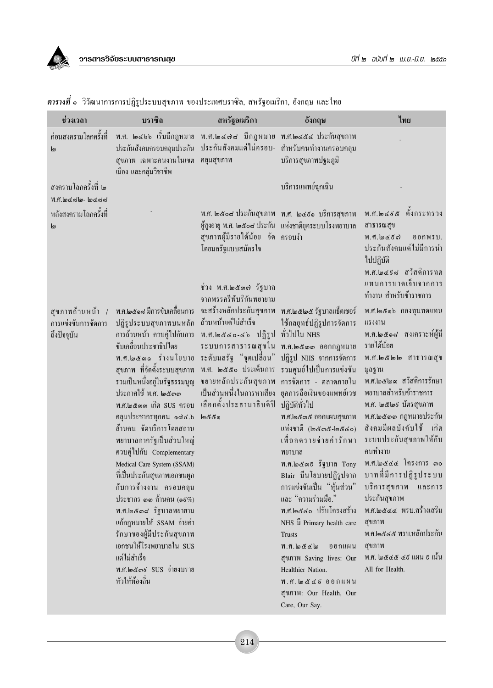| ช่วงเวลา                                               | บราซิล                                                                                                                                                                                                                                                                                                                                                                                                                                                                                                                                                                                                                                                             | สหรัฐอเมริกา                                                                                                                                                                                                                                   | อังกฤษ                                                                                                                                                                                                                                                                                                                                                                                                                                                                                                                                                                                                           | ไทย                                                                                                                                                                                                                                                                                                                                                                                                                                                                                                                                          |
|--------------------------------------------------------|--------------------------------------------------------------------------------------------------------------------------------------------------------------------------------------------------------------------------------------------------------------------------------------------------------------------------------------------------------------------------------------------------------------------------------------------------------------------------------------------------------------------------------------------------------------------------------------------------------------------------------------------------------------------|------------------------------------------------------------------------------------------------------------------------------------------------------------------------------------------------------------------------------------------------|------------------------------------------------------------------------------------------------------------------------------------------------------------------------------------------------------------------------------------------------------------------------------------------------------------------------------------------------------------------------------------------------------------------------------------------------------------------------------------------------------------------------------------------------------------------------------------------------------------------|----------------------------------------------------------------------------------------------------------------------------------------------------------------------------------------------------------------------------------------------------------------------------------------------------------------------------------------------------------------------------------------------------------------------------------------------------------------------------------------------------------------------------------------------|
| ก่อนสงครามโลกครั้งที่<br>لما                           | พ.ศ. ๒๔๖๖ เริ่มมีกฎหมาย พ.ศ.๒๔๗๘ มีกฎหมาย พ.ศ.๒๔๕๔ ประกันสุขภาพ<br>ประกันสังคมครอบคลุมประกัน ประกันสังคมแต่ไม่ครอบ- สำหรับคนทำงานครอบคลุม<br>สุขภาพ เฉพาะคนงานในเขต คลุมสุขภาพ<br>เมือง และกลุ่มวิชาชีพ                                                                                                                                                                                                                                                                                                                                                                                                                                                            |                                                                                                                                                                                                                                                | บริการสุขภาพปฐมภูมิ                                                                                                                                                                                                                                                                                                                                                                                                                                                                                                                                                                                              |                                                                                                                                                                                                                                                                                                                                                                                                                                                                                                                                              |
| สงครามโลกครั้งที่ ๒<br>พ.ศ.๒๔๘๒-๒๔๘๘                   |                                                                                                                                                                                                                                                                                                                                                                                                                                                                                                                                                                                                                                                                    |                                                                                                                                                                                                                                                | บริการแพทย์ฉุกเฉิน                                                                                                                                                                                                                                                                                                                                                                                                                                                                                                                                                                                               |                                                                                                                                                                                                                                                                                                                                                                                                                                                                                                                                              |
| หลังสงครามโลกครั้งที่<br>๒                             |                                                                                                                                                                                                                                                                                                                                                                                                                                                                                                                                                                                                                                                                    | สุขภาพผู้มีรายใด้น้อย จัด ครอบงำ<br>โดยมลรัฐแบบสมัครใจ<br>ช่วง พ.ศ.๒๕๓๗ รัฐบาล                                                                                                                                                                 | พ.ศ. ๒๕๐๘ ประกันสุขภาพ พ.ศ. ๒๔ธฺ๑ บริการสุขภาพ<br>ผู้สูงอายุ พ.ศ. ๒๕๐๘ ประกัน   แห่งชาติยุคระบบโรงพยาบาล                                                                                                                                                                                                                                                                                                                                                                                                                                                                                                         | พ.ศ.๒๔ธ๕ ตั้งกระทรวง<br>สาธารณสุข<br>$W.M.\omega$ c $60$<br>ออกพรบ.<br>ประกันสังคมแต่ไม่มีการนำ<br>ไปปฏิบัติ<br>พ.ศ.๒๔ธฺ๘ สวัสดิการทด<br>แทนการบาดเจ็บจากการ<br>ทำงาน สำหรับข้าราชการ                                                                                                                                                                                                                                                                                                                                                        |
| สุขภาพถ้วนหน้า /<br>การแข่งขันการจัดการ<br>ถึงปัจจุบัน | พ.ศ.๒๕๑๘ มีการขับเคลื่อนการ<br>ปฏิรูประบบสุขภาพบนหลัก<br>การถ้วนหน้า ควบคู่ไปกับการ<br>ขับเคลื่อนประชาธิปไตย<br>พ.ศ.๒๕๑๑ ร่างนโยบาย<br>สุขภาพ ที่จัดตั้งระบบสุขภาพ<br>รวมเป็นหนึ่งอยู่ในรัฐธรรมนูญ<br>ประกาศใช้ พ.ศ. ๒๕๓๓<br>พ.ศ.๒๕๓๓ เกิด SUS ครอบ<br>คลุมประชากรทุกคน ๑๗๔.๖<br>ถ้านคน จัดบริการโดยสถาน<br>พยาบาลภาครัฐเป็นส่วนใหญ่<br>ควบคู่ไปกับ Complementary<br>Medical Care System (SSAM)<br>ที่เป็นประกันสุขภาพเอกชนผูก<br>กับการจ้างงาน ครอบคลุม<br>ประชากร ๓๓ ถ้านคน (๑ $5\%$ )<br>พ.ศ.๒๕๓๘ รัฐบาลพยายาม<br>แก้กฎหมายให้ SSAM จ่ายค่า<br>รักษาของผู้มีประกันสุขภาพ<br>เอกชนให้โรงพยาบาลใน SUS<br>แต่ไม่สำเร็จ<br>พ.ศ.๒๕๓ธ SUS จ่ายงบราย<br>หัวให้ท้องถิ่น | จากพรรครีพับริกันพยายาม<br>ึ่จะสร้างหลักประกันสุขภาพ พ.ศ.๒๕๒๕รัฐบาลแธ็ตเชอร์<br>ถ้วนหน้าแต่ไม่สำเร็จ<br>พ.ศ.๒๕๔๐-๔๖ ปฏิรูป ทั่วไปใน NHS<br>ระดับมลรัฐ "จุดเปลี่ยน" ปฏิรูป NHS จากการจัดการ<br>้เลือกตั้งประธานาธิบดีปี ปฏิบัติทั่วไป<br>මර්ජිග | ใช้กลยุทธ์ปฏิรูปการจัดการ<br>ระบบการสาธารณสุขใน พ.ศ.๒๕๓๓ ออกกฎหมาย<br>พ.ศ. ๒๕๕๐ ประเด็นการ รวมศูนย์ไปเป็นการแข่งขัน<br>ขยายหลักประกันสุขภาพ การจัดการ - ตลาดภายใน<br>เป็นส่วนหนึ่งในการหาเสียง ยุคการถือเงินของแพทย์เวช<br>พ.ศ.๒๕๑๕ ออกแผนสุขภาพ<br>แห่งชาติ (๒๕๓๕-๒๕๔๐)<br>เพื่อลครายจ่ายค่ารักษา<br>พยาบาล<br>การแข่งขันเป็น "หุ้นส่วน"<br>และ"ความร่วมมือ."<br>พ.ศ.๒๕๔๐ ปรับโครงสร้าง<br>NHS $\overrightarrow{v}$ Primary health care<br><b>Trusts</b><br>$W.R.l\omega$ & do<br>ออกแผน<br>สุขภาพ Saving lives: Our<br>Healthier Nation.<br>$W.$ ମି. ๒ ๕ ๔ ธ ออกแผน<br>สุขภาพ: Our Health, Our<br>Care Our Sav | พ.ศ.๒๕๑๖ กองทุนทดแทน<br>แรงงาน<br>พ.ศ.๒๕๑๘ สงเคราะห์ผู้มี<br>รายได้น้อย<br>พ.ศ.๒๕๒๒ สาธารณสุข<br>มูลฐาน<br>พ.ศ.๒๕๒๑ สวัสดิการรักษา<br>พยาบาลสำหรับข้าราชการ<br>พ.ศ. ๒๕๒៩ บัตรสุขภาพ<br>พ.ศ.๒๕๑๑ กฎหมายประกัน<br>สังคมมีผลบังคับใช้ เกิด<br>ระบบประกันสุขภาพให้กับ<br>ึกนทำงาน<br>พ.ศ.๒๕๓ธ รัฐบาล Tony พ.ศ.๒๕๔๔ โครงการ ๓๐<br>Blair มีนโยบายปฏิรูปจาก บาทที่มีการปฏิรูประบบ<br>บริการสุขภาพ<br>และการ<br>ประกันสุขภาพ<br>พ.ศ.๒๕๔๔ พรบ.สร้างเสริม<br>สุขภาพ<br>พ.ศ.๒๕๔๕ พรบ.หลักประกัน<br>สุขภาพ<br>พ.ศ. ๒๕๔๕-๔ธ แผน ธ เน้น<br>All for Health. |

ี <mark>ตารางที่</mark> ๑ วิวัฒนาการการปฏิรูประบบสุขภาพ ของประเทศบราซิล, สหรัฐอเมริกา, อังกฤษ และไทย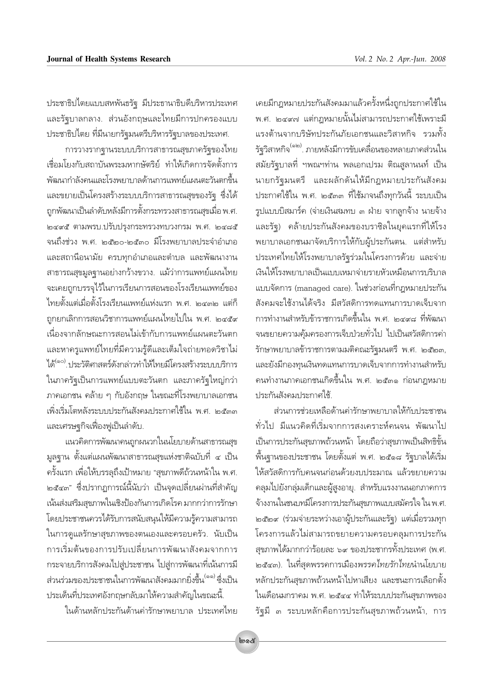ู้ เคยมีกฎหมายประกันสังคมมาแล้วครั้งหนึ่งถูกประกาศใช้ใน พ.ศ. ๒๔๙๗ แต่กฎหมายนั้นไม่สามารถประกาศใช้เพราะมี ้แรงต้านจากบริษัทประกันภัยเอกชนและวิสาหกิจ รวมทั้ง ้รัฐวิสาหกิจ<sup>(๑๒)</sup>. ภายหลังมีการขับเคลื่อนของหลายภาคส่วนใน สมัยรัฐบาลที่ ฯพณฯท่าน พลเอกเปรม ติณสูลานนท์ เป็น นายกรัฐมนตรี และผลักดันให้มีกฎหมายประกันสังคม ประกาศใช้ใน พ.ศ. ๒๕๓๓ ที่ใช้มาจนถึงทุกวันนี้ ระบบเป็น ูรูปแบบบิสมาร์ค (จ่ายเงินสมทบ ๓ ฝ่าย จากลูกจ้าง นายจ้าง และรัฐ) คล้ายประกันสังคมของบราซิลในยุคแรกที่ให้โรง พยาบาลเอกชนมาจัดบริการให้กับผู้ประกันตน. แต่สำหรับ ประเทศไทยให้โรงพยาบาลรัฐร่วมในโครงการด้วย และจ่าย เงินให้โรงพยาบาลเป็นแบบเหมาจ่ายรายหัวเหมือนการบริบาล แบบจัดการ (managed care). ในช่วงก่อนที่กฎหมายประกัน ้สังคมจะใช้งานได้จริง มีสวัสดิการทดแทนการบาดเจ็บจาก การทำงานสำหรับข้าราชการเกิดขึ้นใน พ.ศ. ๒๔๙๘ ที่พัฒนา จนขยายความคุ้มครองการเจ็บป่วยทั่วไป ไปเป็นสวัสดิการค่า ู้รักษาพยาบาลข้าราชการตามมติคณะรัฐมนตรี พ.ศ. ๒๕๒๓, และยังมีกองทุนเงินทดแทนการบาดเจ็บจากการทำงานสำหรับ ึ คนทำงานภาคเอกชนเกิดขึ้นใน พ.ศ. ๒๕๓๑ ก่อนกฎหมาย ำ∣ระกันสังคมประกาศใช้

ส่วนการช่วยเหลือด้านค่ารักษาพยาบาลให้กับประชาชน ์ ทั่วไป มีแนวคิดที่เริ่มจากการสงเคราะห์คนจน พัฒนาไป เป็นการประกันสุขภาพถ้วนหน้า โดยถือว่าสุขภาพเป็นสิทธิขั้น ู้พื้นฐานของประชาชน โดยตั้งแต่ พ.ศ. ๒๕๑๘ รัฐบาลได้เริ่ม ให้สวัสดิการกับคนจนก่อนด้วยงบประมาณ แล้วขยายความ คลุมไปยังกลุ่มเด็กและผู้สูงอายุ. สำหรับแรงงานนอกภาคการ ้จ้างงานในชนบทมีโครงการประกันสุขภาพแบบสมัครใจ ใน พ.ศ. ั๒๕๒๙ (ร่วมจ่ายระหว่างเอาผู้ประกันและรัฐ) แต่เมื่อรวมทุก ู้ โครงการแล้วไม่สามารถขยายความครอบคลุมการประกัน สุขภาพได้มากกว่าร้อยละ ๖๙ ของประชากรทั้งประเทศ (พ.ศ. ็๒๕๔๓). ในที่สุดพรรคการเมือง*พรรคไทยรักไทย*นำนโยบาย ทลักประกันสุขภาพถ้วนหน้าไปหาเสียง และชนะการเลือกตั้ง ในเดือนมกราคม พ.ศ. ๒๕๔๔ ทำให้ระบบประกันสุขภาพของ ู้ รัฐมี ๓ ระบบหลักคือการประกันสุขภาพถ้วนหน้า, การ

ิ ประชาธิปไตยแบบสหพันธรัฐ มีประธานาธิบดีบริหารประเทศ และรัฐบาลกลาง. ส่วนอังกฤษและไทยมีการปกครองแบบ ิ ประชาธิปไตย ที่มีนายกรัฐมนตรีบริหารรัฐบาลของประเทศ.

ำกรวางรากฐานระบบบริการสาธารณสุขภาครัฐของไทย ี่เชื่อมโยงกับสถาบันพระมหากษัตริย์ ทำให้เกิดการจัดตั้งการ ู้ พัฒนากำลังคนและโรงพยาบาลด้านการแพทย์แผนตะวันตกขึ้น เเละขยายเป็นโครงสร้างระบบบริการสาธารณสุขของรัฐ ซึ่งได้ ิถูกพัฒนาเป็นลำดับหลังมีการตั้งกระทรวงสาธารณสุขเมื่อ พ.ศ. อ๔๙๕ ตามพรบ.ปรับปรุงกระทรวงทบวงกรม พ.ศ. ๒๔๘๕ จนถึงช่วง พ.ศ. ๒๕๒๐-๒๕๓๐ มีโรงพยาบาลประจำอำเภอ และสถานือนามัย ครบทุกอำเภอและตำบล และพัฒนางาน สาธารณสุขมูลฐานอย่างกว้างขวาง. แม้ว่าการแพทย์แผนไทย จะเคยถูกบรรจุไว้ในการเรียนการสอนของโรงเรียนแพทย์ของ ู\็ทยตั้งแต่เมื่อตั้งโรงเรียนแพทย์แห่งแรก พ.ศ. ๒๔๓๒ แต่ก็ ้ถูกยกเลิกการสอนวิชาการแพทย์แผนไทยไปใน พ.ศ. ๒๔๕๙ เนื่องจากลักษณะการสอนไม่เข้ากับการแพทย์แผนตะวันตก และหาครูแพทย์ไทยที่มีความรู้ดีและเต็มใจถ่ายทอดวิชาไม่  $\mathbb{V}^{*\left(\circ\circ\right)}$ . ประวัติศาสตร์ดังกล่าวทำให้ไทยมีโครงสร้างระบบบริการ ในภาครัฐเป็นการแพทย์แบบตะวันตก และภาครัฐใหญ่กว่า ึ ภาคเอกชน คล้าย ๆ กับอังกฤษ ในขณะที่โรงพยาบาลเอกชน ูเพิ่งเริ่มโตหลังระบบประกันสังคมประกาศใช้ใน พ.ศ. ๒๕๓๓ เเละเศรษฐกิจเฟื่องฟูเป็นลำดับ.

เเนวคิดการพัฒนาคนถูกผนวกในนโยบายด้านสาธารณสุข ิมูลฐาน ตั้งแต่แผนพัฒนาสาธารณสุขแห่งชาติฉบับที่ ๔ เป็น ครั้งแรก เพื่อให้บรรลุถึงเป้าหมาย "สุขภาพดีถ้วนหน้าใน พ.ศ. ิ ๒๕๔๓" ซึ่งปรากฏการณ์นี้นับว่า เป็นจุดเปลี่ยนผ่านที่สำคัญ เน้นส่งเสริมสุขภาพในเชิงป้องกันการเกิดโรค มากกว่าการรักษา โดยประชาชนควรได้รับการสนับสนุนให้มีความรู้ความสามารถ <u>ใ</u>นการดูแลรักษาสุขภาพของตนเองและครอบครัว. นับเป็น ิการเริ่มต้นของการปรับเปลี่ยนการพัฒนาสังคมจากการ ึกระจายบริการสังคมไปสู่ประชาชน ไปสู่การพัฒนาที่เน้นการมี ส่วนร่วมของประชาชนในการพัฒนาสังคมมากยิ่งขึ้น <sup>"</sup> ซึ่งเป็น ประเด็นที่ประเทศอังกฤษกลับมาให้ความสำคัญในขณะนี้.

ในด้านหลักประกันด้านค่ารักษาพยาบาล ประเทศไทย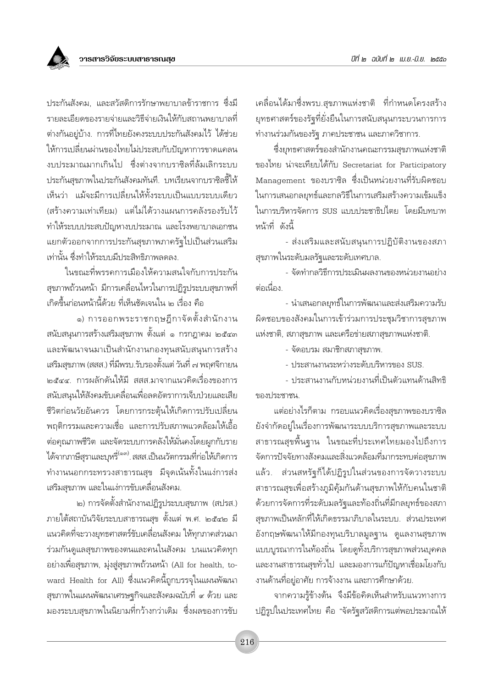

ประกันสังคม และสวัสดิการรักษาพยาบาลข้าราชการ ซึ่งมี รายละเอียดของรายจ่ายและวิธีจ่ายเงินให้กับสถานพยาบาลที่ ต่างกันอยู่บ้าง. การที่ไทยยังคงระบบประกันสังคมไว้ ได้ช่วย ให้การเปลี่ยนผ่านของไทยไม่ประสบกับปัญหาการขาดแคลน งบประมาณมากเกินไป ซึ่งต่างจากบราซิลที่ล้มเลิกระบบ ประกันสุขภาพในประกันสังคมทันที. บทเรียนจากบราซิลชี้ให้ เห็นว่า แม้จะมีการเปลี่ยนให้ทั้งระบบเป็นแบบระบบเดียว (สร้างความเท่าเทียม) แต่ไม่ได้วางแผนการคลังรองรับไว้ ทำให้ระบบประสบปัญหางบประมาณ และโรงพยาบาลเอกชน แยกตัวออกจากการประกันสุขภาพภาครัฐไปเป็นส่วนเสริม เท่านั้น ซึ่งทำให้ระบบมีประสิทธิภาพลดลง.

ในขณะที่พรรคการเมืองให้ความสนใจกับการประกัน สุขภาพถ้วนหน้า มีการเคลื่อนไหวในการปฏิรูประบบสุขภาพที่ เกิดขึ้นก่อนหน้านี้ด้วย ที่เห็นชัดเจนใน ๒ เรื่อง คือ

๑) การออกพระราชกฤษฎีกาจัดตั้งสำนักงาน สนับสนุนการสร้างเสริมสุขภาพ ตั้งแต่ ๑ กรกฎาคม ๒๕๔๓ และพัฒนาจนมาเป็นสำนักงานกองทุนสนับสนุนการสร้าง เสริมสุขภาพ (สสส.) ที่มีพรบ.รับรองตั้งแต่ วันที่ ๗ พฤศจิกายน <u>๒๕๔๔. การผลักดันให้มี สสส.มาจากแนวคิดเรื่องของการ</u> สนับสนุนให้สังคมขับเคลื่อนเพื่อลดอัตราการเจ็บป่วยและเสีย ชีวิตก่อนวัยอันควร โดยการกระตุ้นให้เกิดการปรับเปลี่ยน ็พฤติกรรมและความเชื่อ และการปรับสภาพแวดล้อมให้เอื้อ ต่อคุณภาพชีวิต และจัดระบบการคลังให้มั่นคงโดยผูกกับราย ได้จากภาษีสุราและบุหรื่<sup>(๑๓)</sup>. สสส.เป็นนวัตกรรมที่ก่อให้เกิดการ ้ทำงานนอกกระทรวงสาธารณสุข มีจุดเน้นทั้งในแง่การส่ง เสริมสุขภาพ และในแง่การขับเคลื่อนสังคม.

๒) การจัดตั้งสำนักงานปฏิรูประบบสุขภาพ (สปรส.) ภายใต้สถาบันวิจัยระบบสาธารณสุข ตั้งแต่ พ.ศ. ๒๕๔๒ มี แนวคิดที่จะวางยุทธศาสตร์ขับเคลื่อนสังคม ให้ทุกภาคส่วนมา ร่วมกันดูแลสุขภาพของตนและคนในสังคม บนแนวคิดทุก อย่างเพื่อสุขภาพ, มุ่งสู่สุขภาพถ้วนหน้า (All for health, toward Health for All) ซึ่งแนวคิดนี้ถูกบรรจุในแผนพัฒนา สุขภาพในแผนพัฒนาเศรษฐกิจและสังคมฉบับที่ ๙ ด้วย และ มองระบบสุขภาพในนิยามที่กว้างกว่าเดิม ซึ่งผลของการขับ

เคลื่อนได้มาซึ่งพรบ.สุขภาพแห่งชาติ ที่กำหนดโครงสร้าง ยุทธศาสตร์ของรัฐที่ยั่งยืนในการสนับสนุนกระบวนการการ ทำงานร่วมกันของรัฐ ภาคประชาชน และภาควิชาการ.

ซึ่งยุทธศาสตร์ของสำนักงานคณะกรรมสุขภาพแห่งชาติ ของไทย น่าจะเทียบได้กับ Secretariat for Participatory Management ของบราซิล ซึ่งเป็นหน่วยงานที่รับผิดชอบ ในการเสนอกลยทธ์และกลวิธีในการเสริมสร้างความเข้มแข็ง ในการบริหารจัดการ SUS แบบประชาธิปไตย โดยมีบทบาท หน้าที่ ดังนี้

- ส่งเสริมและสนับสนุนการปฏิบัติงานของสภา สุขภาพในระดับมลรัฐและระดับเทศบาล.

- จัดทำกลวิธีการประเมินผลงานของหน่วยงานอย่าง ต่อเนื่อง

- นำเสนอกลยุทธ์ในการพัฒนาและส่งเสริมความรับ ผิดชอบของสังคมในการเข้าร่วมการประชุมวิชาการสุขภาพ แห่งชาติ, สภาสุขภาพ และเครือข่ายสภาสุขภาพแห่งชาติ.

- จัดอบรม สมาชิกสภาสุขภาพ.

- ประสานงานระหว่างระดับบริหารของ SUS

- ประสานงานกับหน่วยงานที่เป็นตัวแทนด้านสิทธิ ของประชาชน

แต่อย่างไรก็ตาม กรอบแนวคิดเรื่องสุขภาพของบราซิล ยังจำกัดอยู่ในเรื่องการพัฒนาระบบบริการสุขภาพและระบบ สาธารณสุขพื้นฐาน ในขณะที่ประเทศไทยมองไปถึงการ จัดการปัจจัยทางสังคมและสิ่งแวดล้อมที่มากระทบต่อสุขภาพ แล้ว. ส่วนสหรัฐก็ได้ปฏิรูปในส่วนของการจัดวางระบบ สาธารณสุขเพื่อสร้างภูมิคุ้มกันด้านสุขภาพให้กับคนในชาติ ด้วยการจัดการที่ระดับมลรัฐและท้องถิ่นที่มีกลยุทธ์ของสภา สุขภาพเป็นหลักที่ให้เกิดธรรมาภิบาลในระบบ. ส่วนประเทศ อังกฤษพัฒนาให้มีกองทุนบริบาลมูลฐาน ดูแลงานสุขภาพ แบบบูรณาการในท้องถิ่น โดยดูทั้งบริการสุขภาพส่วนบุคคล และงานสาธารณสุขทั่วไป และมองการแก้ปัญหาเชื่อมโยงกับ งานด้านที่อยู่อาศัย การจ้างงาน และการศึกษาด้วย.

จากความรู้ข้างต้น จึงมีข้อคิดเห็นสำหรับแนวทางการ ปฏิรูปในประเทศไทย คือ "จัดรัฐสวัสดิการแต่พอประมาณให้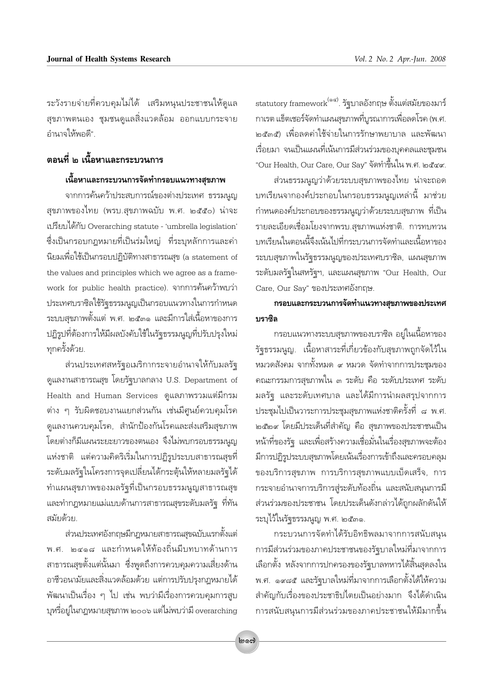ระวังรายจ่ายที่ควบคุมไม่ได้ เสริมหนุนประชาชนให้ดูแล สุขภาพตนเอง ชุมชนดูแลสิ่งแวดล้อม ออกแบบกระจาย อำนาจให้พอดี"

## ้ตอนที่ ๒ เนื้อหาและกระบวนการ

#### เนื้อหาและกระบวนการจัดทำกรอบแนวทางสุขภาพ

จากการค้นคว้าประสบการณ์ของต่างประเทศ ธรรมนูญ สุขภาพของไทย (พรบ.สุขภาพฉบับ พ.ศ. ๒๕๕๐) น่าจะ เปรียบได้กับ Overarching statute - 'umbrella legislation' ซึ่งเป็นกรอบกฎหมายที่เป็นร่มใหญ่ ที่ระบุหลักการและค่า นิยมเพื่อใช้เป็นกรอบปฏิบัติทางสาธารณสุข (a statement of the values and principles which we agree as a framework for public health practice). จากการค้นคว้าพบว่า ประเทศบราซิลใช้รัฐธรรมนูญเป็นกรอบแนวทางในการกำหนด ้ระบบสุขภาพตั้งแต่ พ.ศ. ๒๕๓๑ และมีการใส่เนื้อหาของการ ปฏิรูปที่ต้องการให้มีผลบังคับใช้ในรัฐธรรมนูญที่ปรับปรุงใหม่ ทกครั้งด้วย.

ส่วนประเทศสหรัฐอเมริกากระจายอำนาจให้กับมลรัฐ ดูแลงานสาธารณสุข โดยรัฐบาลกลาง U.S. Department of Health and Human Services ดูแลภาพรวมแต่มีกรม ต่าง ๆ รับผิดชอบงานแยกส่วนกัน เช่นมีศูนย์ควบคุมโรค ดูแลงานควบคุมโรค, สำนักป้องกันโรคและส่งเสริมสุขภาพ โดยต่างก็มีแผนระยะยาวของตนเอง จึงไม่พบกรอบธรรมนูญ แห่งชาติ แต่ความคิดริเริ่มในการปฏิรูประบบสาธารณสุขที่ ระดับมลรัฐในโครงการจุดเปลี่ยนได้กระตุ้นให้หลายมลรัฐได้ ทำแผนสุขภาพของมลรัฐที่เป็นกรอบธรรมนูญสาธารณสุข และทำกฎหมายแม่แบบด้านการสาธารณสุขระดับมลรัฐ ที่ทัน สมัยด้วย.

ส่วนประเทศอังกฤษมีกฎหมายสาธารณสุขฉบับแรกตั้งแต่ พ.ศ. ๒๔๑๘ และกำหนดให้ท้องถิ่นมีบทบาทด้านการ สาธารณสุขตั้งแต่นั้นมา ซึ่งพูดถึงการควบคุมความเสี่ยงด้าน อาชีวอนามัยและสิ่งแวดล้อมด้วย แต่การปรับปรุงกฎหมายได้ ้พัฒนาเป็นเรื่อง ๆ ไป เช่น พบว่ามีเรื่องการควบคุมการสูบ บุหรื่อยู่ในกฎหมายสุขภาพ ๒๐๐๖ แต่ไม่พบว่ามี overarching  $\,$ statutory framework $\,{}^{(\circ\sigma)}\!\!$ . รัฐบาลอังกฤษ ตั้งแต่สมัยของมาร์ กาเรต แธ็ตเซอร์จัดทำแผนสุขภาพที่บูรณาการเพื่อลดโรค (พ.ศ. ๒๕๓๕) เพื่อลดค่าใช้จ่ายในการรักษาพยาบาล และพัฒนา เรื่อยมา จนเป็นแผนที่เน้นการมีส่วนร่วมของบุคคลและชุมชน "Our Health, Our Care, Our Say" จัดทำขึ้นใน พ.ศ. ๒๕๔๙.

ส่วนธรรมนูญว่าด้วยระบบสุขภาพของไทย น่าจะถอด ิบทเรียนจากองค์ประกอบในกรอบธรรมนูญเหล่านี้ มาช่วย กำหนดองค์ประกอบของธรรมนูญว่าด้วยระบบสุขภาพ ที่เป็น รายละเอียดเชื่อมโยงจากพรบ.สขภาพแห่งชาติ. การทบทวน บทเรียนในตอนนี้จึงเน้นไปที่กระบวนการจัดทำและเนื้อหาของ ระบบสุขภาพในรัฐธรรมนูญของประเทศบราซิล, แผนสุขภาพ ระดับมลรัฐในสหรัฐฯ, และแผนสุขภาพ "Our Health, Our Care, Our Say" ของประเทศอังกฤษ.

### กรอบและกระบวนการจัดทำแนวทางสุขภาพของประเทศ บราซิล

กรอบแนวทางระบบสุขภาพของบราซิล อยู่ในเนื้อหาของ ้รัฐธรรมนูญ. เนื้อหาสาระที่เกี่ยวข้องกับสุขภาพถูกจัดไว้ใน หมวดสังคม จากทั้งหมด ๙ หมวด จัดทำจากการประชุมของ คณะกรรมการสุขภาพใน ๓ ระดับ คือ ระดับประเทศ ระดับ ุมลรัฐ และระดับเทศบาล และได้มีการนำผลสรุปจากการ ประชุมไปเป็นวาระการประชุมสุขภาพแห่งชาติครั้งที่ ๘ พ.ศ. ้๒๕๒๙ โดยมีประเด็นที่สำคัญ คือ สุขภาพของประชาชนเป็น หน้าที่ของรัฐ และเพื่อสร้างความเชื่อมั่นในเรื่องสุขภาพจะต้อง มีการปฏิรูประบบสุขภาพโดยเน้นเรื่องการเข้าถึงและครอบคลุม ของบริการสุขภาพ การบริการสุขภาพแบบเบ็ดเสร็จ, การ กระจายอำนาจการบริการสู่ระดับท้องถิ่น และสนับสนุนการมื ส่วนร่วมของประชาชน โดยประเด็นดังกล่าวได้ถูกผลักดันให้ ระบุไว้ในรัฐธรรมนูญ พ.ศ. ๒๕๓๑.

กระบวนการจัดทำได้รับอิทธิพลมาจากการสนับสนุน การมีส่วนร่วมของภาคประชาชนของรัฐบาลใหม่ที่มาจากการ เลือกตั้ง หลังจากการปกครองของรัฐบาลทหารได้สิ้นสุดลงใน พ.ศ. ๑๙๘๕ และรัฐบาลใหม่ที่มาจากการเลือกตั้งได้ให้ความ สำคัญกับเรื่องของประชาธิปไตยเป็นอย่างมาก จึงได้ดำเนิน การสนับสนุนการมีส่วนร่วมของภาคประชาชนให้มีมากขึ้น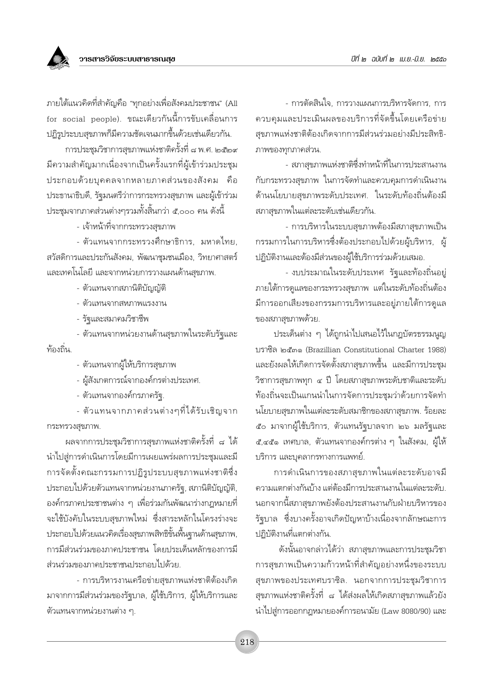ภายใต้แนวคิดที่สำคัญคือ "ทุกอย่างเพื่อสังคมประชาชน" (All for social people). ขณะเดียวกันนี้การขับเคลื่อนการ ปฏิรูประบบสุขภาพก็มีความชัดเจนมากขึ้นด้วยเช่นเดียวกัน.

การประชุมวิชาการสุขภาพแห่งชาติครั้งที่ ๘ พ.ศ. ๒๕๒๙ มีความสำคัญมากเนื่องจากเป็นครั้งแรกที่ผู้เข้าร่วมประชุม ประกอบด้วยบุคคลจากหลายภาคส่วนของสังคม คือ ประธานาธิบดี, รัฐมนตรีว่าการกระทรวงสุขภาพ และผู้เข้าร่วม ประชุมจากภาคส่วนต่างๆรวมทั้งสิ้นกว่า ๕,๐๐๐ คน ดังนี้

- เจ้าหน้าที่จากกระทรวงสขภาพ

- ตัวแทนจากกระทรวงศึกษาธิการ, มหาดไทย, สวัสดิการและประกันสังคม, พัฒนาชุมชนเมือง, วิทยาศาสตร์ และเทคโนโลยี และจากหน่วยการวางแผนด้านสุขภาพ.

- ตัวแทนจากสภานิติบัญญัติ

- ตัวแทนจากสหภาพแรงงาน

- รัฐและสมาคมวิชาชีพ

- ตัวแทนจากหน่วยงานด้านสุขภาพในระดับรัฐและ ท้องถิ่น

- ตัวแทนจากผู้ให้บริการสุขภาพ

- ผู้สังเกตการณ์จากองค์กรต่างประเทศ.

- ตัวแทนจากองค์กรภาครัฐ.

- ตัวแทนจากภาคส่วนต่างๆที่ได้รับเชิญจาก กระทรวงสุขภาพ.

ผลจากการประชุมวิชาการสุขภาพแห่งชาติครั้งที่ ๘ ได้ นำไปสู่การดำเนินการโดยมีการเผยแพร่ผลการประชุมและมี การจัดตั้งคณะกรรมการปฏิรูประบบสุขภาพแห่งชาติซึ่ง ประกอบไปด้วยตัวแทนจากหน่วยงานภาครัฐ, สภานิติบัญญัติ, ้องค์กรภาคประชาชนต่าง ๆ เพื่อร่วมกันพัฒนาร่างกฎหมายที่ จะใช้บังคับในระบบสุขภาพใหม่ ซึ่งสาระหลักในโครงร่างจะ ประกอบไปด้วยแนวคิดเรื่องสุขภาพสิทธิขั้นพื้นฐานด้านสุขภาพ, การมีส่วนร่วมของภาคประชาชน โดยประเด็นหลักของการมี ส่วนร่วมของภาคประชาชนประกอบไปด้วย.

- การบริหารงานเครือข่ายสุขภาพแห่งชาติต้องเกิด มาจากการมีส่วนร่วมของรัฐบาล, ผู้ใช้บริการ, ผู้ให้บริการและ ตัวแทนจากหน่วยงานต่าง ๆ.

- การตัดสินใจ, การวางแผนการบริหารจัดการ, การ ควบคุมและประเมินผลของบริการที่จัดขึ้นโดยเครือข่าย สุขภาพแห่งชาติต้องเกิดจากการมีส่วนร่วมอย่างมีประสิทธิ-ภาพของทุกภาคส่วน.

- สภาสุขภาพแห่งชาติซึ่งทำหน้าที่ในการประสานงาน กับกระทรวงสุขภาพ ในการจัดทำและควบคุมการดำเนินงาน ด้านนโยบายสุขภาพระดับประเทศ. ในระดับท้องถิ่นต้องมี สภาสุขภาพในแต่ละระดับเช่นเดียวกัน.

- การบริหารในระบบสุขภาพต้องมีสภาสุขภาพเป็น กรรมการในการบริหารซึ่งต้องประกอบไปด้วยผู้บริหาร, ผู้ ปฏิบัติงานและต้องมีส่วนของผู้ใช้บริการร่วมด้วยเสมอ.

- งบประมาณในระดับประเทศ รัฐและท้องถิ่นอยู่ ภายใต้การดูแลของกระทรวงสุขภาพ แต่ในระดับท้องถิ่นต้อง มีการออกเสียงของกรรมการบริหารและอยู่ภายใต้การดูแล ของสภาสขภาพด้วย.

ประเด็นต่าง ๆ ได้ถูกนำไปเสนอไว้ในกฎบัตรธรรมนูญ บราซิล ๒๕๓๑ (Brazillian Constitutional Charter 1988) และยังผลให้เกิดการจัดตั้งสภาสุขภาพขึ้น และมีการประชุม วิชาการสุขภาพทุก ๔ ปี โดยสภาสุขภาพระดับชาติและระดับ ท้องถิ่นจะเป็นแกนนำในการจัดการประชุมว่าด้วยการจัดทำ นโยบายสุขภาพในแต่ละระดับสมาชิกของสภาสุขภาพ. ร้อยละ ๕๐ มาจากผู้ใช้บริการ, ตัวแทนรัฐบาลจาก ๒๖ มลรัฐและ ้ ๕,๔๕๑ เทศบาล, ตัวแทนจากองค์กรต่าง ๆ ในสังคม, ผู้ให้ บริการ และบุคลากรทางการแพทย์.

การดำเนินการของสภาสุขภาพในแต่ละระดับอาจมี ความแตกต่างกันบ้าง แต่ต้องมีการประสานงานในแต่ละระดับ. นอกจากนี้สภาสุขภาพยังต้องประสานงานกับฝ่ายบริหารของ รัฐบาล ซึ่งบางครั้งอาจเกิดปัญหาบ้างเนื่องจากลักษณะการ ปฏิบัติงานที่แตกต่างกัน.

้ดังนั้นอาจกล่าวได้ว่า สภาสุขภาพและการประชุมวิชา การสุขภาพเป็นความก้าวหน้าที่สำคัญอย่างหนึ่งของระบบ สุขภาพของประเทศบราซิล. นอกจากการประชุมวิชาการ สุขภาพแห่งชาติครั้งที่ ๘ ได้ส่งผลให้เกิดสภาสุขภาพแล้วยัง นำไปสู่การออกกฎหมายองค์การอนามัย (Law 8080/90) และ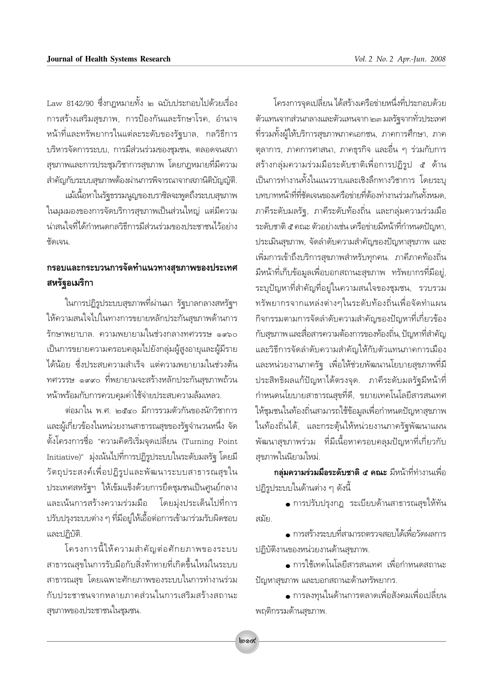Law 8142/90 ซึ่งกฎหมายทั้ง ๒ ฉบับประกอบไปด้วยเรื่อง การสร้างเสริมสุขภาพ, การป้องกันและรักษาโรค, อำนาจ หน้าที่และทรัพยากรในแต่ละระดับของรัฐบาล, กลวิธีการ บริหารจัดการระบบ, การมีส่วนร่วมของชมชน, ตลอดจนสภา สุขภาพและการประชุมวิชาการสุขภาพ โดยกฎหมายที่มีความ สำคัญกับระบบสุขภาพต้องผ่านการพิจารณาจากสภานิติบัญญัติ.

แม้เนื้อหาในรัฐธรรมนูญของบราซิลจะพูดถึงระบบสุขภาพ ในมุมมองของการจัดบริการสุขภาพเป็นส่วนใหญ่ แต่มีความ น่าสนใจที่ได้กำหนดกลวิธีการมีส่วนร่วมของประชาชนไว้อย่าง ชัดเจน

### กรอบและกระบวนการจัดทำแนวทางสุขภาพของประเทศ สหรัฐอเมริกา

ในการปฏิรูประบบสุขภาพที่ผ่านมา รัฐบาลกลางสหรัฐฯ ให้ความสนใจไปในทางการขยายหลักประกันสุขภาพด้านการ รักษาพยาบาล. ความพยายามในช่วงกลางทศวรรษ ๑๙๖๐ เป็นการขยายความครอบคลุมไปยังกลุ่มผู้สูงอายุและผู้มีราย ได้น้อย ซึ่งประสบความสำเร็จ แต่ความพยายามในช่วงต้น ทศวรรษ ๑๙๙๐ ที่พยายามจะสร้างหลักประกันสุขภาพถ้วน หน้าพร้อมกับการควบคมค่าใช้จ่ายประสบความล้มเหลว.

ต่อมาใน พ.ศ. ๒๕๔๐ มีการรวมตัวกันของนักวิชาการ และผู้เกี่ยวข้องในหน่วยงานสาธารณสุขของรัฐจำนวนหนึ่ง จัด ตั้งโครงการชื่อ "ความคิดริเริ่มจุดเปลี่ยน (Turning Point Initiative)" มุ่งเน้นไปที่การปฏิรูประบบในระดับมลรัฐ โดยมี วัตถุประสงค์เพื่อปฏิรูปและพัฒนาระบบสาธารณสุขใน ประเทศสหรัฐฯ ให้เข้มแข็งด้วยการยึดชุมชนเป็นศูนย์กลาง และเน้นการสร้างความร่วมมือ โดยมุ่งประเด็นไปที่การ ปรับปรุงระบบต่าง ๆ ที่มีอยู่ให้เอื้อต่อการเข้ามาร่วมรับผิดชอบ และปฏิบัติ.

โครงการนี้ให้ความสำคัญต่อศักยภาพของระบบ สาธารณสุขในการรับมือกับสิ่งท้าทายที่เกิดขึ้นใหม่ในระบบ สาธารณสุข โดยเฉพาะศักยภาพของระบบในการทำงานร่วม กับประชาชนจากหลายภาคส่วนในการเสริมสร้างสถานะ สุขภาพของประชาชนในชุมชน.

โครงการจุดเปลี่ยน ได้สร้างเครือข่ายหนึ่งที่ประกอบด้วย ตัวแทนจากส่วนกลางและตัวแทนจาก ๒๓ มลรัฐจากทั่วประเทศ ที่รวมทั้งผู้ให้บริการสุขภาพภาคเอกชน, ภาคการศึกษา, ภาค ตุลาการ, ภาคการศาสนา, ภาคธุรกิจ และอื่น ๆ ร่วมกับการ สร้างกลุ่มความร่วมมือระดับชาติเพื่อการปฏิรูป ๕ ด้าน เป็นการทำงานทั้งในแนวราบและเชิงลึกทางวิชาการ โดยระบุ บทบาทหน้าที่ที่ชัดเจนของเครือข่ายที่ต้องทำงานร่วมกันทั้งหมด. ภาคีระดับมลรัฐ, ภาคีระดับท้องถิ่น และกลุ่มความร่วมมือ ระดับชาติ ๕ คณะ ตัวอย่างเช่น เครือข่ายมีหน้าที่กำหนดปัญหา. ประเมินสุขภาพ, จัดลำดับความสำคัญของปัญหาสุขภาพ และ เพิ่มการเข้าถึงบริการสุขภาพสำหรับทุกคน. ภาคีภาคท้องถิ่น ้มีหน้าที่เก็บข้อมูลเพื่อบอกสถานะสุขภาพ ทรัพยากรที่มีอยู่, ระบุปัญหาที่สำคัญที่อยู่ในความสนใจของชุมชน, รวบรวม ทรัพยากรจากแหล่งต่างๆในระดับท้องถิ่นเพื่อจัดทำแผน กิจกรรมตามการจัดลำดับความสำคัญของปัญหาที่เกี่ยวข้อง กับสุขภาพ และสื่อสารความต้องการของท้องถิ่น, ปัญหาที่สำคัญ และวิธีการจัดลำดับความสำคัญให้กับตัวแทนภาคการเมือง และหน่วยงานภาครัฐ เพื่อให้ช่วยพัฒนานโยบายสุขภาพที่มี ประสิทธิผลแก้ปัญหาได้ตรงจุด. ภาคีระดับมลรัฐมีหน้าที่ กำหนดนโยบายสาธารณสุขที่ดี, ขยายเทคโนโลยีสารสนเทศ ให้ชุมชนในท้องถิ่นสามารถใช้ข้อมูลเพื่อกำหนดปัญหาสุขภาพ ในท้องถิ่นได้, และกระตุ้นให้หน่วยงานภาครัฐพัฒนาแผน ้พัฒนาสุขภาพร่วม ที่มีเนื้อหาครอบคลุมปัญหาที่เกี่ยวกับ สขภาพในนิยามใหม่.

ึ **กลุ่มความร่วมมือระดับชาติ ๕ คณะ** มีหน้าที่ทำงานเพื่อ ปฏิรูประบบในด้านต่าง ๆ ดังนี้

• การปรับปรุงกฎ ระเบียบด้านสาธารณสุขให้ทัน สมัย.

• การสร้างระบบที่สามารถตรวจสอบได้เพื่อวัดผลการ ปฏิบัติงานของหน่วยงานด้านสุขภาพ.

• การใช้เทคโนโลยีสารสนเทศ เพื่อกำหนดสถานะ ปัญหาสุขภาพ และบอกสถานะด้านทรัพยากร.

• การลงทุนในด้านการตลาดเพื่อสังคมเพื่อเปลี่ยน พฤติกรรมด้านสุขภาพ.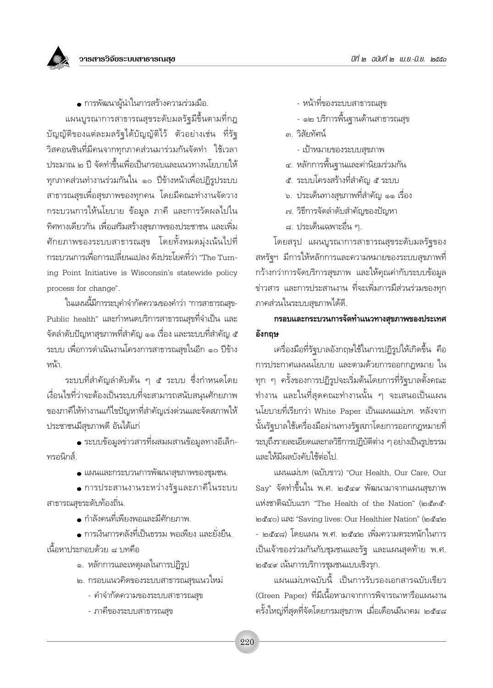• การพัฒนาผู้นำในการสร้างความร่วมมือ.

แผนบูรณาการสาธารณสุขระดับมลรัฐมีขึ้นตามที่กฎ ้บัญญัติของแต่ละมลรัฐได้บัญญัติไว้ ตัวอย่างเช่น ที่รัฐ วิสคอนซินที่มีคนจากทุกภาคส่วนมาร่วมกันจัดทำ ใช้เวลา ประมาณ ๒ ปี จัดทำขึ้นเพื่อเป็นกรอบและแนวทางนโยบายให้ ทุกภาคส่วนทำงานร่วมกันใน ๑๐ ปีข้างหน้าเพื่อปฏิรูประบบ ้สาธารณสุขเพื่อสุขภาพของทุกคน โดยมีคณะทำงานจัดวาง กระบวนการให้นโยบาย ข้อมูล ภาคี และการวัดผลไปใน ้ทิศทางเดียวกัน เพื่อเสริมสร้างสขภาพของประชาชน และเพิ่ม ์ศักยภาพของระบบสาธารณสุข โดยทั้งหมดมุ่งเน้นไปที่ กระบวนการเพื่อการเปลี่ยนแปลง ดังประโยคที่ว่า "The Turning Point Initiative is Wisconsin's statewide policy process for change".

ในแผนนี้มีการระบุคำจำกัดความของคำว่า "การสาธารณสุข-Public health" และกำหนดบริการสาธารณสุขที่จำเป็น และ จัดลำดับปัญหาสุขภาพที่สำคัญ ๑๑ เรื่อง และระบบที่สำคัญ ๕ ้ระบบ เพื่อการดำเนินงานโครงการสาธารณสุขในอีก ๑๐ ปีข้าง หน้า

ระบบที่สำคัญลำดับต้น ๆ ๕ ระบบ ซึ่งกำหนดโดย เงื่อนไขที่ว่าจะต้องเป็นระบบที่จะสามารถสนับสนนศักยภาพ ของภาคีให้ทำงานแก้ไขปัญหาที่สำคัญเร่งด่วนและจัดสภาพให้ ประชาชนมีสุขภาพดี อันได้แก่

● ระบบข้อมูลข่าวสารที่ผสมผสานข้อมูลทางอีเล็ก-ทรอนิกส์

• แผนและกระบวนการพัฒนาสุขภาพของชุมชน.

• การประสานงานระหว่างรัฐและภาคีในระบบ สาธารณสขระดับท้องถิ่น.

• กำลังคนที่เพียงพอและมีศักยภาพ.

• การเงินการคลังที่เป็นธรรม พอเพียง และยั่งยืน. เนื้อหาประกอบด้วย ๘ บทคือ

- ๑. หลักการและเหตุผลในการปฏิรูป
- ๒. กรอบแนวคิดของระบบสาธารณสุขแนวใหม่
	- คำจำกัดความของระบบสาธารณสุข
	- ภาคีของระบบสาธารณสุข
- หน้าที่ของระบบสาธารณสุข
- ๑๒ บริการพื้นฐานด้านสาธารณสุข
- ๓ วิสัยทัศน์
	- เป้าหมายของระบบสุขภาพ
- ๔. หลักการพื้นฐานและค่านิยมร่วมกัน
- ๕. ระบบโครงสร้างที่สำคัญ ๕ ระบบ
- ๖. ประเด็นทางสุขภาพที่สำคัญ ๑๑ เรื่อง
- ๗. วิธีการจัดลำดับสำคัญของปัญหา
- ี ๘. ประเด็นเฉพาะอื่น ๆ.

โดยสรุป แผนบูรณาการสาธารณสุขระดับมลรัฐของ สหรัฐฯ มีการให้หลักการและความหมายของระบบสุขภาพที่ กว้างกว่าการจัดบริการสุขภาพ และให้คุณค่ากับระบบข้อมูล ข่าวสาร และการประสานงาน ที่จะเพิ่มการมีส่วนร่วมของทุก ภาคส่วนในระบบสุขภาพได้ดี.

### กรอบและกระบวนการจัดทำแนวทางสุขภาพของประเทศ อังกถษ

เครื่องมือที่รัฐบาลอังกฤษใช้ในการปฏิรูปให้เกิดขึ้น คือ การประกาศแผนนโยบาย และตามด้วยการออกกฎหมาย ใน ทุก ๆ ครั้งของการปฏิรูปจะเริ่มต้นโดยการที่รัฐบาลตั้งคณะ ทำงาน และในที่สุดคณะทำงานนั้น ๆ จะเสนอเป็นแผน นโยบายที่เรียกว่า White Paper เป็นแผนแม่บท. หลังจาก นั้นรัฐบาลใช้เครื่องมือผ่านทางรัฐสภาโดยการออกกฎหมายที่ ระบุถึงรายละเอียดและกลวิธีการปฏิบัติต่าง ๆ อย่างเป็นรูปธรรม และให้มีผลบังคับใช้ต่อไป

แผนแม่บท (ฉบับขาว) "Our Health, Our Care, Our Say" จัดทำขึ้นใน พ.ศ. ๒๕๔๙ พัฒนามาจากแผนสุขภาพ แห่งชาติฉบับแรก "The Health of the Nation" (๒๕๓๕-๒๕๔๐) และ "Saving lives: Our Healthier Nation" (๒๕๔๒ - ๒๕๔๘) โดยแผน พ.ศ. ๒๕๔๒ เพิ่มความตระหนักในการ เป็นเจ้าของร่วมกันกับชุมชนและรัฐ และแผนสุดท้าย พ.ศ. ๒๕๔๙ เน้นการบริการชุมชนแบบเชิงรุก.

แผนแม่บทฉบับนี้ เป็นการรับรองเอกสารฉบับเขียว (Green Paper) ที่มีเนื้อหามาจากการพิจารณาหารือแผนงาน ครั้งใหญ่ที่สุดที่จัดโดยกรมสุขภาพ เมื่อเดือนมีนาคม ๒๕๔๘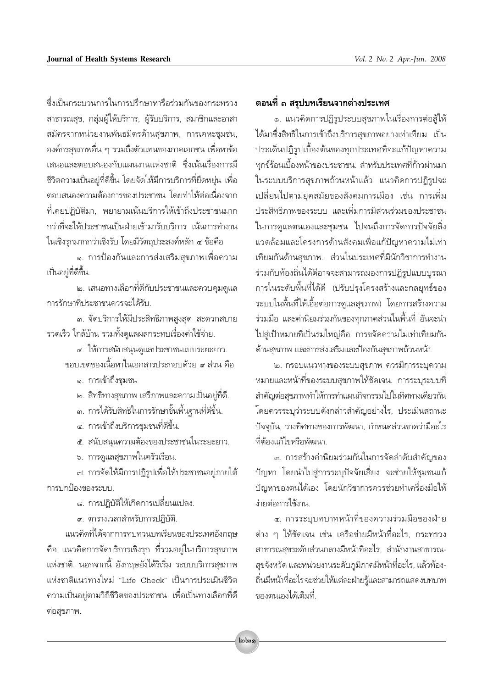ซึ่งเป็นกระบวนการในการปรึกษาหารือร่วมกันของกระทรวง สาธารณสุข, กลุ่มผู้ให้บริการ, ผู้รับบริการ, สมาชิกและอาสา สมัครจากหน่วยงานพันธมิตรด้านสุขภาพ, การเคหะชุมชน, องค์กรสุขภาพอื่น ๆ รวมถึงตัวแทนของภาคเอกชน เพื่อหาข้อ เสนอและตอบสนองกับแผนงานแห่งชาติ ซึ่งเน้นเรื่องการมี ้ชีวิตความเป็นอยู่ที่ดีขึ้น โดยจัดให้มีการบริการที่ยืดหยุ่น เพื่อ ตอบสนองความต้องการของประชาชน โดยทำให้ต่อเนื่องจาก ้ที่เคยปภิบัติมา. พยายามเน้นบริการให้เข้าถึงประชาชนมาก กว่าที่จะให้ประชาชนเป็นฝ่ายเข้ามารับบริการ เน้นการทำงาน ในเชิงรุกมากกว่าเชิงรับ โดยมีวัตถุประสงค์หลัก ๔ ข้อคือ

ึ๑. การป้องกันและการส่งเสริมสุขภาพเพื่อความ เป็นอยู่ที่ดีขึ้น.

ี ๒. เสนอทางเลือกที่ดีกับประชาชนและควบคุมดูแล การรักษาที่ประชาชนควรจะได้รับ.

๓. จัดบริการให้มีประสิทธิภาพสูงสุด สะดวกสบาย รวดเร็ว ใกล้บ้าน รวมทั้งดูแลผลกระทบเรื่องค่าใช้จ่าย.

๔. ให้การสนับสนุนดูแลประชาชนแบบระยะยาว. ขอบเขตของเนื้อหาในเอกสารประกอบด้วย ๙ ส่วน คือ

๑. การเข้าถึงชมชน

- ่ ๒. สิทธิทางสุขภาพ เสรีภาพและความเป็นอยู่ที่ดี.
- ๓. การได้รับสิทธิในการรักษาขั้นพื้นฐานที่ดีขึ้น.
- ๔. การเข้าถึงบริการชมชนที่ดีขึ้น.
- ๕. สนับสนุนความต้องของประชาชนในระยะยาว.
- ๖. การดูแลสุขภาพในครัวเรือน.

.๗. การจัดให้มีการปฏิรูปเพื่อให้ประชาชนอยู่ภายใต้ การปกป้องของระบบ

ี่ ๘. การปฏิบัติให้เกิดการเปลี่ยนแปลง.

๙. ตารางเวลาสำหรับการปฏิบัติ.

แนวคิดที่ได้จากการทบทวนบทเรียนของประเทศอังกฤษ ้คือ แนวคิดการจัดบริการเชิงรุก ที่รวมอยู่ในบริการสุขภาพ แห่งชาติ. นอกจากนี้ อังกฤษยังได้ริเริ่ม ระบบบริการสุขภาพ แห่งชาติแนวทางใหม่ "Life Check" เป็นการประเมินชีวิต ้ความเป็นอยู่ตามวิถีชีวิตของประชาชน เพื่อเป็นทางเลือกที่ดี ต่อสุขภาพ.

### ็ตอนที่ ๓ สรุปบทเรียนจากต่างประเทศ

๑. แนวคิดการปฏิรูประบบสุขภาพในเรื่องการต่อสู้ให้ ได้มาซึ่งสิทธิในการเข้าถึงบริการสุขภาพอย่างเท่าเทียม เป็น ประเด็นปฏิรูปเบื้องต้นของทุกประเทศที่จะแก้ปัญหาความ ทกข์ร้อนเบื้องหน้าของประชาชน. สำหรับประเทศที่ก้าวผ่านมา ในระบบบริการสุขภาพถ้วนหน้าแล้ว แนวคิดการปฏิรูปจะ เปลี่ยนไปตามยุคสมัยของสังคมการเมือง เช่น การเพิ่ม ประสิทธิภาพของระบบ และเพิ่มการมีส่วนร่วมของประชาชน ในการดูแลตนเองและชุมชน ไปจนถึงการจัดการปัจจัยสิ่ง แวดล้อมและโครงการด้านสังคมเพื่อแก้ปัญหาความไม่เท่า เทียมกันด้านสุขภาพ. ส่วนในประเทศที่มีนักวิชาการทำงาน ร่วมกับท้องถิ่นได้ดีอาจจะสามารถมองการปฏิรูปแบบบูรณา การในระดับพื้นที่ได้ดี (ปรับปรุงโครงสร้างและกลยุทธ์ของ ระบบในพื้นที่ให้เอื้อต่อการดูแลสุขภาพ) โดยการสร้างความ ้ร่วมมือ และค่านิยมร่วมกันของทุกภาคส่วนในพื้นที่ อันจะนำ ไปสู่เป้าหมายที่เป็นร่มใหญ่คือ การขจัดความไม่เท่าเทียมกัน ด้านสุขภาพ และการส่งเสริมและป้องกันสุขภาพถ้วนหน้า.

๒. กรอบแนวทางของระบบสุขภาพ ควรมีการระบุความ หมายและหน้าที่ของระบบสุขภาพให้ชัดเจน. การระบุระบบที่ สำคัญต่อสุขภาพทำให้การทำแผนกิจกรรมไปในทิศทางเดียวกัน โดยควรระบุว่าระบบดังกล่าวสำคัญอย่างไร, ประเมินสถานะ ปัจจุบัน, วางทิศทางของการพัฒนา, กำหนดส่วนขาดว่ามีอะไร ที่ต้องแก้ไขหรือพัฒนา

.๓. การสร้างค่านิยมร่วมกันในการจัดลำดับสำคัญของ ้ปัญหา โดยนำไปสู่การระบุปัจจัยเสี่ยง จะช่วยให้ชุมชนแก้ ปัญหาของตนได้เอง โดยนักวิชาการควรช่วยทำเครื่องมือให้ ง่ายต่อการใช้งาน

๔. การระบุบทบาทหน้าที่ของความร่วมมือของฝ่าย ต่าง ๆ ให้ชัดเจน เช่น เครือข่ายมีหน้าที่อะไร, กระทรวง สาธารณสุขระดับส่วนกลางมีหน้าที่อะไร, สำนักงานสาธารณ-สุขจังหวัด และหน่วยงานระดับภูมิภาคมีหน้าที่อะไร, แล้วท้อง-ถิ่นมีหน้าที่อะไรจะช่วยให้แต่ละฝ่ายร้และสามารถแสดงบทบาท ์<br>ของตนเองได้เต็มที่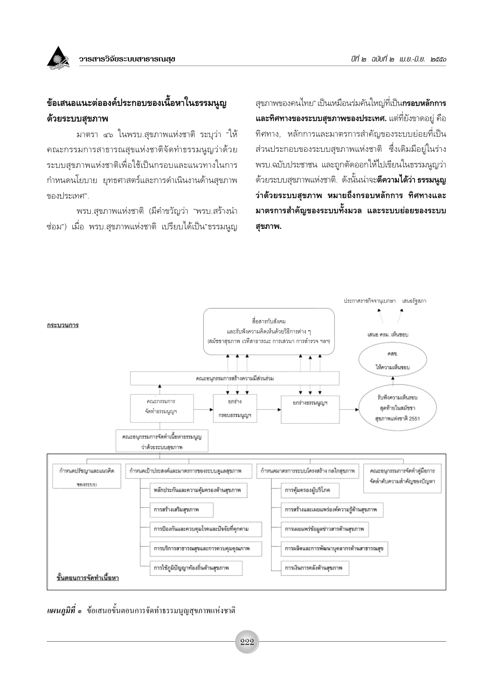### ข้อเสนอแนะต่อองค์ประกอบของเนื้อหาในธรรมนูญ ด้วยระบบสุขภาพ

มาตรา ๔๖ ในพรบ.สุขภาพแห่งชาติ ระบุว่า "ให้ คณะกรรมการสาธารณสุขแห่งชาติจัดทำธรรมนูญว่าด้วย ระบบสขภาพแห่งชาติเพื่อใช้เป็นกรอบและแนวทางในการ กำหนดนโยบาย ยุทธศาสตร์และการดำเนินงานด้านสุขภาพ ของประเทศ".

พรบ.สุขภาพแห่งชาติ (มีคำขวัญว่า "พรบ.สร้างนำ ช่อม") เมื่อ พรบ.สุขภาพแห่งชาติ เปรียบได้เป็น"ธรรมนูญ สุขภาพของคนไทย" เป็นเหมือนร่มคันใหญ่ที่เป็น**กรอบหลักการ และทิศทางของระบบสุขภาพของประเทศ.** แต่ที่ยังขาดอยู่ คือ ้ทิศทาง, หลักการและมาตรการสำคัญของระบบย่อยที่เป็น ส่วนประกอบของระบบสุขภาพแห่งชาติ ซึ่งเดิมมีอยู่ในร่าง ้พรบ.ฉบับประชาชน และถูกตัดออกให้ไปเขียนในธรรมนูญว่า ้ด้วยระบบสุขภาพแห่งชาติ. ดังนั้นน่าจะ**ตีความได้ว่า ธรรมนูญ** ว่าด้วยระบบสุขภาพ หมายถึงกรอบหลักการ ทิศทางและ มาตรการสำคัญของระบบทั้งมวล และระบบย่อยของระบบ สุขภาพ.



*แผนภูมิ*ที่ ๑ ข้อเสนอขั้นตอนการจัดทำธรรมนูญสุขภาพแห่งชาติ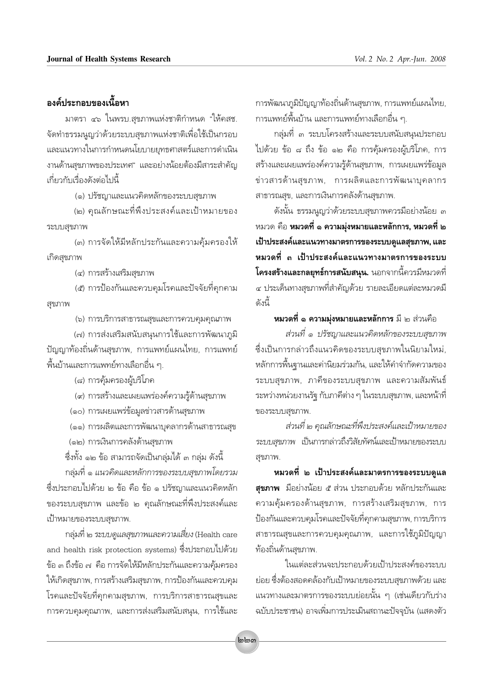### ้องค์ประกอบของเนื้อหา

มาตรา ๔๖ ในพรบ.สุขภาพแห่งชาติกำหนด "ให้คสช. จัดทำธรรมนูญว่าด้วยระบบสุขภาพแห่งชาติเพื่อใช้เป็นกรอบ และแนวทางในการกำหนดนโยบายยุทธศาสตร์และการดำเนิน งานด้านสุขภาพของประเทศ" และอย่างน้อยต้องมีสาระสำคัญ เกี่ยวกับเรื่องดังต่อไปนี้

(๑) ปรัชญาและแนวคิดหลักของระบบสุขภาพ

(๒) คุณลักษณะที่พึงประสงค์และเป้าหมายของ ระบบสขภาพ

(๓) การจัดให้มีหลักประกันและความคุ้มครองให้ เกิดสุขภาพ

(๔) การสร้างเสริมสุขภาพ

(๕) การป้องกันและควบคุมโรคและปัจจัยที่คุกคาม สขภาพ

(๖) การบริการสาธารณสุขและการควบคุมคุณภาพ

(๗) การส่งเสริมสนับสนุนการใช้และการพัฒนาภูมิ ปัญญาท้องถิ่นด้านสุขภาพ, การแพทย์แผนไทย, การแพทย์ ์พื้นบ้านและการแพทย์ทางเลือกอื่น ๆ.

(๘) การคุ้มครองผู้บริโภค

(๙) การสร้างและเผยแพร่องค์ความรู้ด้านสุขภาพ

(๑๐) การเผยแพร่ข้อมูลข่าวสารด้านสุขภาพ

(๑๑) การผลิตและการพัฒนาบุคลากรด้านสาธารณสุข

(๑๒) การเงินการคลังด้านสุขภาพ

ซึ่งทั้ง ๑๒ ข้อ สามารถจัดเป็นกลุ่มได้ ๓ กลุ่ม ดังนี้

กลุ่มที่ ๑ แนวคิดและหลักการของระบบสุขภาพโดยรวม ซึ่งประกอบไปด้วย ๒ ข้อ คือ ข้อ ๑ ปรัชญาและแนวคิดหลัก ของระบบสุขภาพ และข้อ ๒ คุณลักษณะที่พึงประสงค์และ เป้าหมายของระบบสุขภาพ.

กลุ่มที่ ๒ ระบบดูแลสุขภาพและความเสี่ยง (Health care and health risk protection systems) ซึ่งประกอบไปด้วย ข้อ ๓ ถึงข้อ ๗ คือ การจัดให้มีหลักประกันและความคุ้มครอง ให้เกิดสุขภาพ, การสร้างเสริมสุขภาพ, การป้องกันและควบคุม โรคและปัจจัยที่คุกคามสุขภาพ, การบริการสาธารณสุขและ การควบคุมคุณภาพ, และการส่งเสริมสนับสนุน, การใช้และ

การพัฒนาภูมิปัญญาท้องถิ่นด้านสุขภาพ, การแพทย์แผนไทย, ้การแพทย์พื้นบ้าน และการแพทย์ทางเลือกอื่น ๆ.

กลุ่มที่ ๓ ระบบโครงสร้างและระบบสนับสนุนประกอบ ไปด้วย ข้อ ๘ ถึง ข้อ ๑๒ คือ การคุ้มครองผู้บริโภค, การ สร้างและเผยแพร่องค์ความรู้ด้านสุขภาพ, การเผยแพร่ข้อมูล ข่าวสารด้านสุขภาพ, การผลิตและการพัฒนาบุคลากร สาธารณสุข, และการเงินการคลังด้านสุขภาพ.

ดังนั้น ธรรมนูญว่าด้วยระบบสุขภาพควรมีอย่างน้อย ๓ หมวด คือ **หมวดที่ ๑ ความมุ่งหมายและหลักการ, หมวดที่ ๒** เป้าประสงค์และแนวทางมาตรการของระบบดูแลสุขภาพ, และ หมวดที่ ๓ เป้าประสงค์และแนวทางมาตรการของระบบ **โครงสร้างและกลยุทธ์การสนับสนุน.** นอกจากนี้ควรมีหมวดที่ ๔ ประเด็นทางสุขภาพที่สำคัญด้วย รายละเอียดแต่ละหมวดมี ดังนี้

### หมวดที่ ๑ ความมุ่งหมายและหลักการ มี ๒ ส่วนคือ

้ส่วนที่ ๑ ปรัชญาและแนวคิดหลักของระบบสุขภาพ ซึ่งเป็นการกล่าวถึงแนวคิดของระบบสุขภาพในนิยามใหม่, หลักการพื้นฐานและค่านิยมร่วมกัน, และให้คำจำกัดความของ ระบบสุขภาพ, ภาคีของระบบสุขภาพ และความสัมพันธ์ ระหว่างหน่วยงานรัฐ กับภาคีต่าง ๆ ในระบบสุขภาพ, และหน้าที่ ของระบบสขภาพ.

ส่วนที่ ๒ คุณลักษณะที่พึงประสงค์และเป้าหมายของ *ระบบสุขภาพ* เป็นการกล่าวถึงวิสัยทัศน์และเป้าหมายของระบบ สขภาพ.

หมวดที่ ๒ เป้าประสงค์และมาตรการของระบบดูแล **สุขภาพ** มีอย่างน้อย ๕ ส่วน ประกอบด้วย หลักประกันและ ความคุ้มครองด้านสุขภาพ, การสร้างเสริมสุขภาพ, การ ้ป้องกันและควบคุมโรคและปัจจัยที่คุกคามสุขภาพ, การบริการ สาธารณสุขและการควบคุมคุณภาพ, และการใช้ภูมิปัญญา ท้องถิ่นด้านสุขภาพ.

ในแต่ละส่วนจะประกอบด้วยเป้าประสงค์ของระบบ ย่อย ซึ่งต้องสอดคล้องกับเป้าหมายของระบบสุขภาพด้วย และ แนวทางและมาตรการของระบบย่อยนั้น ๆ (เช่นเดียวกับร่าง ฉบับประชาชน) อาจเพิ่มการประเมินสถานะปัจจุบัน (แสดงตัว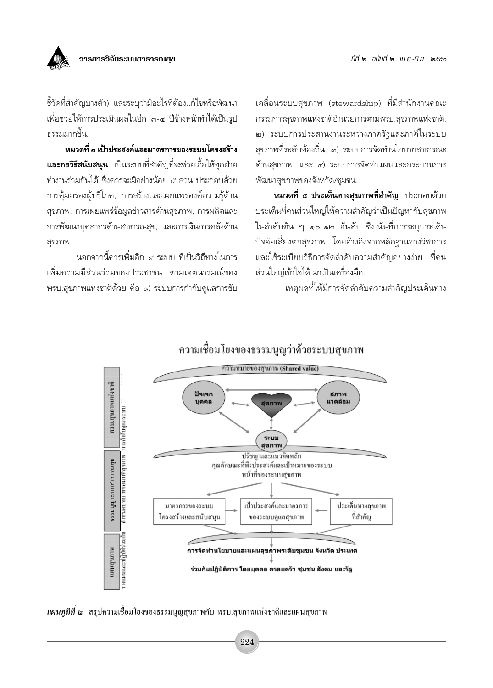

์ชี้วัดที่สำคัญบางตัว) และระบุว่ามีอะไรที่ต้องแก้ไขหรือพัฒนา เพื่อช่วยให้การประเมินผลในอีก ๓-๔ ปีข้างหน้าทำได้เป็นรูป ธรรมมากขึ้น

หมวดที่ ๓ เป้าประสงค์และมาตรการของระบบโครงสร้าง **และกลวิธีสนับสนน** เป็นระบบที่สำคัญที่จะช่วยเอื้อให้ทุกฝ่าย ้ทำงานร่วมกันได้ ซึ่งควรจะมีอย่างน้อย ๕ ส่วน ประกอบด้วย การค้มครองผ้บริโภค, การสร้างและเผยแพร่องค์ความร้ด้าน สุขภาพ, การเผยแพร่ข้อมูลข่าวสารด้านสุขภาพ, การผลิตและ การพัฒนาบคลากรด้านสาธารณสข. และการเงินการคลังด้าน สุขภาพ.

้นอกจากนี้ควรเพิ่มอีก ๔ ระบบ ที่เป็นวิถีทางในการ เพิ่มความมีส่วนร่วมของประชาชน ตามเจตนารมณ์ของ พรบ.สุขภาพแห่งชาติด้วย คือ ๑) ระบบการกำกับดูแลการขับ เคลื่อนระบบสุขภาพ (stewardship) ที่มีสำนักงานคณะ กรรมการสุขภาพแห่งชาติอำนวยการตามพรบ.สุขภาพแห่งชาติ, ๒) ระบบการประสานงานระหว่างภาครัฐและภาคีในระบบ สขภาพที่ระดับท้องถิ่น, ๓) ระบบการจัดทำนโยบายสาธารณะ ด้านสุขภาพ, และ ๔) ระบบการจัดทำแผนและกระบวนการ พัฒนาสุขภาพของจังหวัด/ชุมชน.

หมวดที่ ๔ ประเด็นทางสุขภาพที่สำคัญ ประกอบด้วย ประเด็นที่คนส่วนใหญ่ให้ความสำคัญว่าเป็นปัญหากับสุขภาพ ในลำดับต้น ๆ ๑๐-๑๒ อันดับ ซึ่งเน้นที่การระบประเด็น ้ปัจจัยเสี่ยงต่อสุขภาพ โดยอ้างอิงจากหลักฐานทางวิชาการ และใช้ระเบียบวิธีการจัดลำดับความสำคัญอย่างง่าย ที่คน ส่วนใหญ่เข้าใจได้ มาเป็นเครื่องมือ.

เหตุผลที่ให้มีการจัดลำดับความสำคัญประเด็นทาง



### ความเชื่อมโยงของธรรมนูญว่าค้วยระบบสุขภาพ

*แผนภูมิที่ ๒* สรุปความเชื่อมโยงของธรรมนูญสุขภาพกับ พรบ.สุขภาพแห่งชาติและแผนสุขภาพ